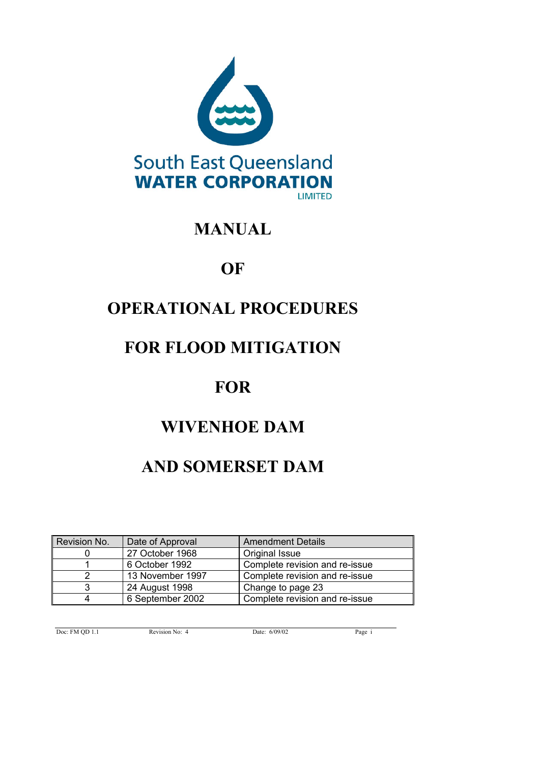

# **MANUAL**

# **OF**

# **OPERATIONAL PROCEDURES**

# **FOR FLOOD MITIGATION**

# **FOR**

# **WIVENHOE DAM**

# **AND SOMERSET DAM**

| Revision No. | Date of Approval | <b>Amendment Details</b>       |
|--------------|------------------|--------------------------------|
|              | 27 October 1968  | Original Issue                 |
|              | 6 October 1992   | Complete revision and re-issue |
|              | 13 November 1997 | Complete revision and re-issue |
|              | 24 August 1998   | Change to page 23              |
|              | 6 September 2002 | Complete revision and re-issue |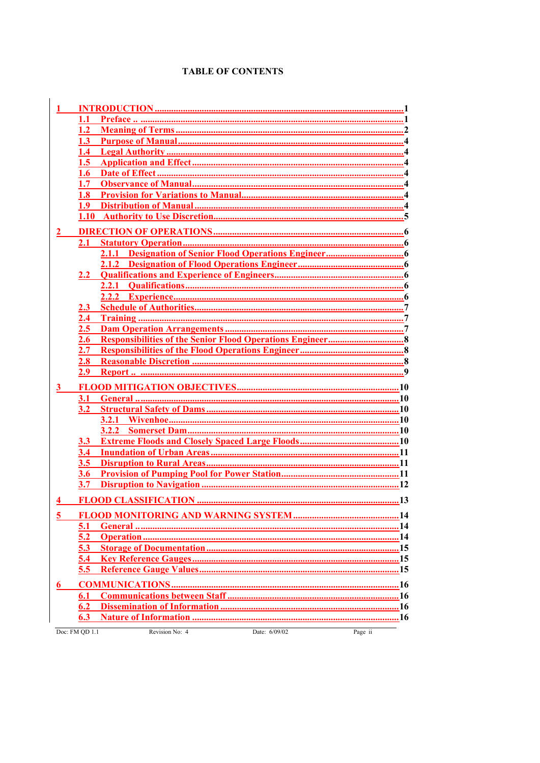## **TABLE OF CONTENTS**

|   | 1.1            |                                            |
|---|----------------|--------------------------------------------|
|   | 1.2            |                                            |
|   | 1.3            |                                            |
|   | 1.4            |                                            |
|   | 1.5            |                                            |
|   |                |                                            |
|   | 1.6<br>1.7     |                                            |
|   |                |                                            |
|   | 1.8<br>1.9     |                                            |
|   | 1.10           |                                            |
|   |                |                                            |
|   |                |                                            |
|   | 2.1            |                                            |
|   |                | 2.1.1                                      |
|   |                | 2.1.2                                      |
|   | $2.2^{\circ}$  |                                            |
|   |                |                                            |
|   |                |                                            |
|   | 2.3            |                                            |
|   | 2.4            |                                            |
|   | $2.5^{\circ}$  |                                            |
|   | 2.6            |                                            |
|   |                |                                            |
|   | 2.8            |                                            |
|   | 2.9            |                                            |
| 3 |                |                                            |
|   | 3.1            |                                            |
|   | 3.2            |                                            |
|   |                |                                            |
|   |                |                                            |
|   | 3.3            |                                            |
|   | 3.4            |                                            |
|   | 3.5            |                                            |
|   | 3.6            |                                            |
|   | 3.7            |                                            |
| 4 |                | 13<br>OOD CLASSIFICATION                   |
|   |                |                                            |
| 5 |                | .14                                        |
|   | 5.1            | .14                                        |
|   | 5.2            |                                            |
|   |                |                                            |
|   | 5.4            |                                            |
|   | $5.5\,$        |                                            |
| 6 |                |                                            |
|   | 6.1            |                                            |
|   | 6.2            |                                            |
|   | 6.3            |                                            |
|   | Doc: FM QD 1.1 | Date: 6/09/02<br>Page ii<br>Revision No: 4 |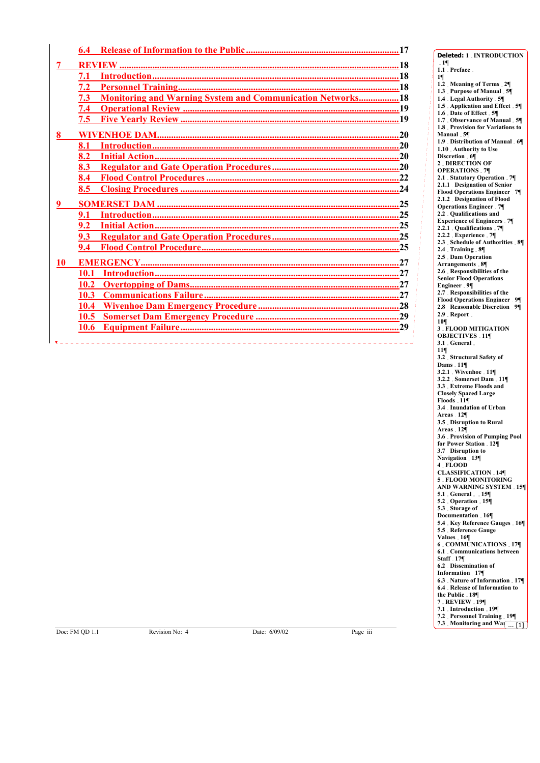|    |      | <b>Deleted: 1 INTRODUCTION</b>                                      |
|----|------|---------------------------------------------------------------------|
|    |      | $.1$ ¶<br>1.1 Preface                                               |
|    | 7.1  | 1¶                                                                  |
|    | 7.2  | 1.2 Meaning of Terms 2                                              |
|    | 7.3  | 1.3 Purpose of Manual 5                                             |
|    |      | 1.4 Legal Authority . 5¶<br>1.5 Application and Effect . 5          |
|    | 7.4  | 1.6 Date of Effect . 5¶                                             |
|    | 7.5  | 1.7 Observance of Manual . 5¶                                       |
|    |      | 1.8 Provision for Variations to<br>Manual 5                         |
|    |      | 1.9 Distribution of Manual 6                                        |
|    | 8.1  | 1.10 Authority to Use                                               |
|    | 8.2  | Discretion 6                                                        |
|    | 8.3  | <b>2 DIRECTION OF</b><br><b>OPERATIONS 74</b>                       |
|    | 8.4  | 2.1 Statutory Operation 7                                           |
|    | 8.5  | 2.1.1 Designation of Senior                                         |
|    |      | <b>Flood Operations Engineer . 7¶</b><br>2.1.2 Designation of Flood |
|    |      | <b>Operations Engineer . 7¶</b>                                     |
|    |      | 2.2 Qualifications and                                              |
|    | 9.2  | <b>Experience of Engineers 7%</b><br>2.2.1 Oualifications 7         |
|    | 9.3  | 2.2.2 Experience 7¶                                                 |
|    |      | 2.3 Schedule of Authorities 8                                       |
|    | 9.4  | 2.4 Training 8                                                      |
| 10 |      | 2.5 Dam Operation<br>Arrangements 8                                 |
|    | 10.1 | 2.6 Responsibilities of the                                         |
|    |      | <b>Senior Flood Operations</b>                                      |
|    | 10.2 | Engineer 9<br>2.7 Responsibilities of the                           |
|    | 10.3 | <b>Flood Operations Engineer 9</b>                                  |
|    | 10.4 | 2.8 Reasonable Discretion 9                                         |
|    | 10.5 | 2.9 Report                                                          |
|    | 10.6 | 10¶<br><b>3 FLOOD MITIGATION</b>                                    |
|    |      | <b>OBJECTIVES</b> 11                                                |
|    |      | 3.1 Ceneral                                                         |

| $1$ ¶                                                           |
|-----------------------------------------------------------------|
| 1.1 Preface .<br>1¶                                             |
| 1.2 Meaning of Terms 2¶                                         |
| 1.3 Purpose of Manual 5                                         |
| 1.4 Legal Authority . 5¶                                        |
| 1.5 Application and Effect . 5                                  |
| 1.6 . Date of Effect . 5¶<br>1.7 . Observance of Manual . 5¶    |
| 1.8 Provision for Variations to                                 |
| Manual 5                                                        |
| 1.9 Distribution of Manual 6                                    |
| 1.10 Authority to Use                                           |
| Discretion 6                                                    |
| <b>2 DIRECTION OF</b><br><b>OPERATIONS . 7¶</b>                 |
| 2.1 Statutory Operation 7                                       |
| 2.1.1 Designation of Senior                                     |
| Flood Operations Engineer . 7¶                                  |
| 2.1.2 Designation of Flood                                      |
| <b>Operations Engineer . 7¶</b>                                 |
| 2.2 Qualifications and<br><b>Experience of Engineers 71</b>     |
| 2.2.1 Qualifications 7                                          |
| 2.2.2 Experience 7¶                                             |
| 2.3 Schedule of Authorities 8¶                                  |
| 2.4 Training 8                                                  |
| 2.5 Dam Operation                                               |
| Arrangements 8                                                  |
| 2.6 Responsibilities of the<br><b>Senior Flood Operations</b>   |
| Engineer 9¶                                                     |
| 2.7 Responsibilities of the                                     |
| <b>Flood Operations Engineer 9</b>                              |
| 2.8 Reasonable Discretion 9                                     |
| 2.9 . Report .                                                  |
| 10 <sub>1</sub><br><b>3</b> . FLOOD MITIGATION                  |
| <b>OBJECTIVES</b> 11                                            |
| 3.1 General                                                     |
| $11\P$                                                          |
|                                                                 |
| 3.2 Structural Safety of                                        |
| Dams 11¶                                                        |
| 3.2.1 Wivenhoe 11¶                                              |
| 3.2.2 Somerset Dam 11¶                                          |
| 3.3 Extreme Floods and<br><b>Closely Spaced Large</b>           |
| $Floods$ 11                                                     |
| 3.4 Inundation of Urban                                         |
| Areas 12                                                        |
| 3.5 Disruption to Rural                                         |
| Areas 12                                                        |
| <b>3.6 Provision of Pumping Pool</b><br>for Power Station 12    |
| 3.7 Disruption to                                               |
| Navigation 13¶                                                  |
| 4 FLOOD                                                         |
| <b>CLASSIFICATION . 14¶</b>                                     |
| <b>5 FLOOD MONITORING</b><br>AND WARNING SYSTEM . 159           |
| 5.1 General 15                                                  |
| 5.2 Operation 15                                                |
| 5.3 Storage of                                                  |
| Documentation 16                                                |
| 5.4 Key Reference Gauges 16                                     |
| 5.5 Reference Gauge<br>Values 16                                |
| <b>6 COMMUNICATIONS 17¶</b>                                     |
| 6.1 Communications between                                      |
| Staff 17                                                        |
| 6.2 Dissemination of                                            |
| Information . 17¶                                               |
| 6.3 Nature of Information 17¶<br>6.4 Release of Information to  |
| the Public 18                                                   |
| <b>7 . REVIEW . 19¶</b>                                         |
| 7.1 Introduction 19                                             |
| 7.2 Personnel Training 19<br>7.3 Monitoring and $\text{Wa}$ [1] |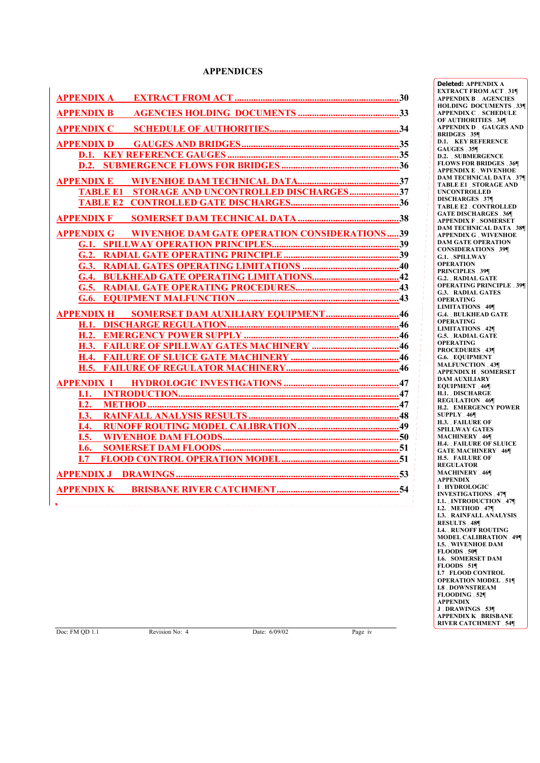#### **APPENDICES**

| <b>APPENDIX A</b>                                                        |
|--------------------------------------------------------------------------|
| <b>APPENDIX B</b>                                                        |
| <b>APPENDIX C</b>                                                        |
| <b>APPENDIX D</b>                                                        |
|                                                                          |
|                                                                          |
| <b>APPENDIX E</b>                                                        |
| <b>TABLE E1 STORAGE AND UNCONTROLLED DISCHARGES37</b>                    |
|                                                                          |
| <b>APPENDIX F</b>                                                        |
| <b>WIVENHOE DAM GATE OPERATION CONSIDERATIONS39</b><br><b>APPENDIX G</b> |
|                                                                          |
|                                                                          |
|                                                                          |
|                                                                          |
|                                                                          |
|                                                                          |
| <b>SOMERSET DAM AUXILIARY EQUIPMENT  46</b><br><b>APPENDIX H</b>         |
|                                                                          |
| H.2.                                                                     |
| H.3.                                                                     |
|                                                                          |
|                                                                          |
|                                                                          |
| APPENDIX I                                                               |
| L1.                                                                      |
|                                                                          |
| L3.                                                                      |
| L4.                                                                      |
| I.5.                                                                     |
| I.6.                                                                     |
| $L_{\overline{z}}$                                                       |
|                                                                          |
|                                                                          |
|                                                                          |
|                                                                          |

**Deleted: APPENDIX A EXTRACT FROM ACT 31¶ APPENDIX B AGENCIES HOLDING DOCUMENTS 33¶ APPENDIX C SCHEDULE OF AUTHORITIES 34¶ APPENDIX D GAUGES AND BRIDGES 35¶ D.1. KEY REFERENCE GAUGES 35¶ D.2. SUBMERGENCE FLOWS FOR BRIDGES 36¶ APPENDIX E WIVENHOE DAM TECHNICAL DATA 37¶ TABLE E1 STORAGE AND UNCONTROLLED DISCHARGES 37¶ TABLE E2 CONTROLLED GATE DISCHARGES 36¶ APPENDIX F SOMERSET DAM TECHNICAL DATA 38¶ APPENDIX G WIVENHOE DAM GATE OPERATION CONSIDERATIONS 39¶ G.1. SPILLWAY OPERATION PRINCIPLES 39¶ G.2. RADIAL GATE OPERATING PRINCIPLE 39¶ G.3. RADIAL GATES OPERATING LIMITATIONS 40¶ G.4. BULKHEAD GATE OPERATING LIMITATIONS 42¶ G.5. RADIAL GATE OPERATING PROCEDURES 43¶ G.6. EQUIPMENT MALFUNCTION 43¶ APPENDIX H SOMERSET DAM AUXILIARY EQUIPMENT 46¶ H.1. DISCHARGE REGULATION 46¶ H.2. EMERGENCY POWER SUPPLY 46¶ H.3. FAILURE OF SPILLWAY GATES MACHINERY 46¶ H.4. FAILURE OF SLUICE GATE MACHINERY 46¶ H.5. FAILURE OF REGULATOR MACHINERY 46¶ APPENDIX I HYDROLOGIC INVESTIGATIONS 47¶ I.1. INTRODUCTION 47¶ I.2. METHOD 47¶ I.3. RAINFALL ANALYSIS RESULTS 48¶ I.4. RUNOFF ROUTING MODEL CALIBRATION 49¶ I.5. WIVENHOE DAM FLOODS 50¶ I.6. SOMERSET DAM FLOODS 51¶ I.7 FLOOD CONTROL OPERATION MODEL 51¶ I.8 DOWNSTREAM FLOODING 52¶ APPENDIX J DRAWINGS 53¶ APPENDIX K BRISBANE RIVER CATCHMENT 54¶**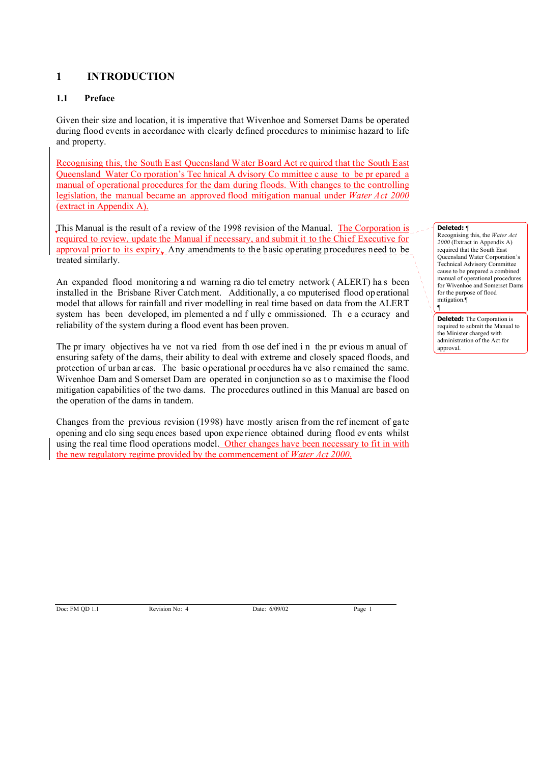# **1 INTRODUCTION**

## <span id="page-4-0"></span>**1.1 Preface**

<span id="page-4-1"></span>Given their size and location, it is imperative that Wivenhoe and Somerset Dams be operated during flood events in accordance with clearly defined procedures to minimise hazard to life and property.

Recognising this, the South East Queensland Water Board Act re quired that the South East Queensland Water Co rporation's Tec hnical A dvisory Co mmittee c ause to be pr epared a manual of operational procedures for the dam during floods. With changes to the controlling legislation, the manual became an approved flood mitigation manual under *Water Act 2000*  (extract in Appendix A).

This Manual is the result of a review of the 1998 revision of the Manual. The Corporation is required to review, update the Manual if necessary, and submit it to the Chief Executive for approval prior to its expiry. Any amendments to the basic operating procedures need to be treated similarly.

An expanded flood monitoring a nd warning ra dio tel emetry network ( ALERT) ha s been installed in the Brisbane River Catch ment. Additionally, a co mputerised flood op erational model that allows for rainfall and river modelling in real time based on data from the ALERT system has been developed, im plemented a nd f ully c ommissioned. Th e a ccuracy and reliability of the system during a flood event has been proven.

The pr imary objectives ha ve not va ried from th ose def ined i n the pr evious m anual of ensuring safety of the dams, their ability to deal with extreme and closely spaced floods, and protection of urban areas. The basic operational procedures have also remained the same. Wivenhoe Dam and S omerset Dam are operated in conjunction so as to maximise the flood mitigation capabilities of the two dams. The procedures outlined in this Manual are based on the operation of the dams in tandem.

Changes from the previous revision (1998) have mostly arisen from the ref inement of gate opening and clo sing sequ ences based upon expe rience obtained during flood ev ents whilst using the real time flood operations model. Other changes have been necessary to fit in with the new regulatory regime provided by the commencement of *Water Act 2000*.

## **Deleted:** ¶

¶

Recognising this, the *Water Act 2000* (Extract in Appendix A) required that the South East Queensland Water Corporation's Technical Advisory Committee cause to be prepared a combined manual of operational procedures for Wivenhoe and Somerset Dams for the purpose of flood mitigation.¶

**Deleted:** The Corporation is required to submit the Manual to the Minister charged with administration of the Act for approval.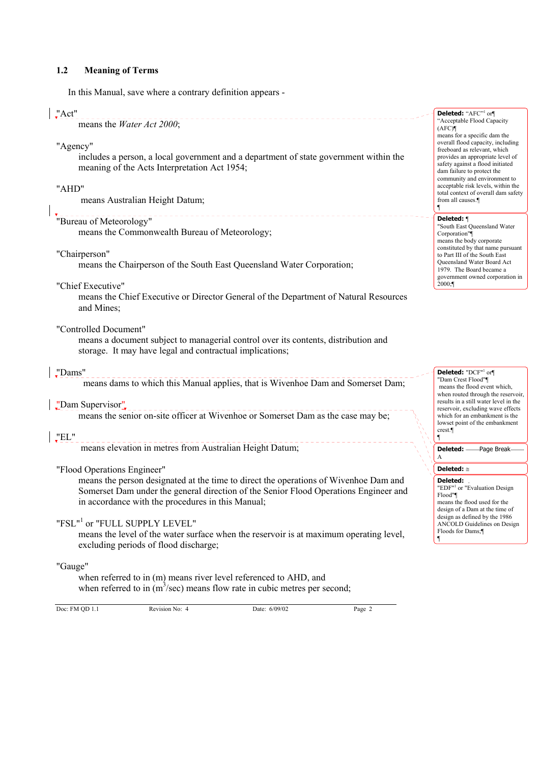#### <span id="page-5-0"></span>**1.2 Meaning of Terms**

In this Manual, save where a contrary definition appears -

#### "Act"

means the *Water Act 2000*;

#### "Agency"

includes a person, a local government and a department of state government within the meaning of the Acts Interpretation Act 1954;

#### "AHD"

means Australian Height Datum;

## "Bureau of Meteorology"

means the Commonwealth Bureau of Meteorology;

#### "Chairperson"

means the Chairperson of the South East Queensland Water Corporation;

#### "Chief Executive"

means the Chief Executive or Director General of the Department of Natural Resources and Mines;

#### "Controlled Document"

means a document subject to managerial control over its contents, distribution and storage. It may have legal and contractual implications;

#### "Dams"

means dams to which this Manual applies, that is Wivenhoe Dam and Somerset Dam;

#### "Dam Supervisor"

means the senior on-site officer at Wivenhoe or Somerset Dam as the case may be;

#### "EL"

means elevation in metres from Australian Height Datum;

#### "Flood Operations Engineer"

means the person designated at the time to direct the operations of Wivenhoe Dam and Somerset Dam under the general direction of the Senior Flood Operations Engineer and in accordance with the procedures in this Manual;

#### "FSL"<sup>1</sup> or "FULL SUPPLY LEVEL"

means the level of the water surface when the reservoir is at maximum operating level, excluding periods of flood discharge;

#### "Gauge"

when referred to in (m) means river level referenced to AHD, and when referred to in  $(m<sup>3</sup>/sec)$  means flow rate in cubic metres per second;

Doc: FM QD 1.1 Revision No: 4 Date: 6/09/02 Page 2

#### Deleted: "AFC"<sup>1</sup> or "Acceptable Flood Capacity (AFC)¶ means for a specific dam the overall flood capacity, including freeboard as relevant, which provides an appropriate level of safety against a flood initiated

dam failure to protect the community and environment to acceptable risk levels, within the total context of overall dam safety from all causes.¶ ¶

#### **Deleted:** ¶

"South East Queensland Water Corporation"¶ means the body corporate constituted by that name pursuant to Part III of the South East Queensland Water Board Act 1979. The Board became a government owned corporation in  $2000:$ 

Deleted: "DCF"<sup>1</sup> or "Dam Crest Flood"¶ means the flood event which, when routed through the reservoir. results in a still water level in the reservoir, excluding wave effects which for an embankment is the lowset point of the embankment crest.¶

**Deleted:** Page Break A

#### **Deleted:**

**Deleted:** 

¶

"EDF"<sup>1</sup> or "Evaluation Design Flood"¶ means the flood used for the design of a Dam at the time of design as defined by the 1986 ANCOLD Guidelines on Design Floods for Dams;¶ ¶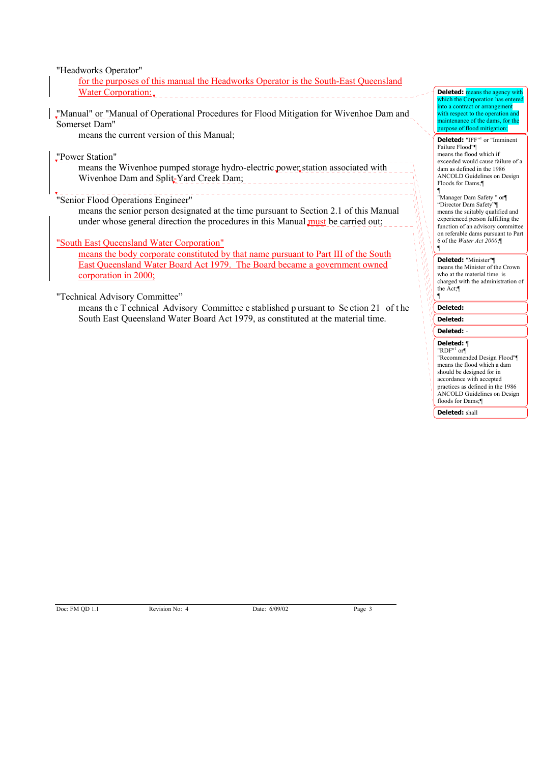"Headworks Operator"

for the purposes of this manual the Headworks Operator is the South-East Queensland Water Corporation:

"Manual" or "Manual of Operational Procedures for Flood Mitigation for Wivenhoe Dam and Somerset Dam"

means the current version of this Manual;

"Power Station"

means the Wivenhoe pumped storage hydro-electric power station associated with Wivenhoe Dam and Split-Yard Creek Dam;

"Senior Flood Operations Engineer"

means the senior person designated at the time pursuant to Section 2.1 of this Manual under whose general direction the procedures in this Manual *must* be carried out;

"South East Queensland Water Corporation"

means the body corporate constituted by that name pursuant to Part III of the South East Queensland Water Board Act 1979. The Board became a government owned corporation in 2000;

"Technical Advisory Committee"

means the T echnical Advisory Committee e stablished p ursuant to Se ction 21 of the South East Queensland Water Board Act 1979, as constituted at the material time.

**Deleted:** means the agency with which the Corporation has entered into a contract or arrangement with respect to the operation and maintenance of the dams, for the purpose of flood mitigation;

**Deleted:** "IFF"<sup>1</sup> or "Imminent

Failure Flood"¶ means the flood which if exceeded would cause failure of a dam as defined in the 1986 ANCOLD Guidelines on Design Floods for Dams;¶

¶ "Manager Dam Safety " or¶ "Director Dam Safety"¶ means the suitably qualified and experienced person fulfilling the function of an advisory committee on referable dams pursuant to Part 6 of the *Water Act 2000*;¶

**Deleted:** "Minister"¶

means the Minister of the Crown who at the material time is charged with the administration of the Act;¶ ¶

#### **Deleted:**

¶

**Deleted:** 

**Deleted:** -

#### **Deleted:** ¶ " $RDF$ " or

"Recommended Design Flood"¶ means the flood which a dam should be designed for in accordance with accepted practices as defined in the 1986 ANCOLD Guidelines on Design floods for Dams;¶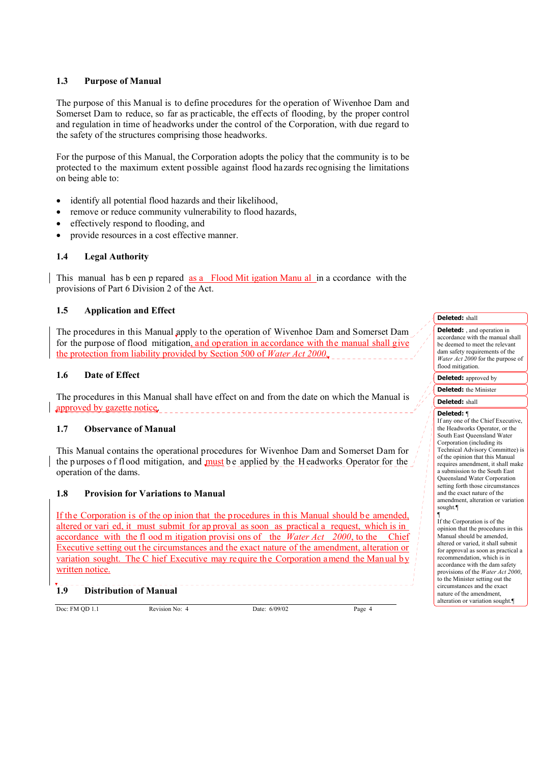## **1.3 Purpose of Manual**

<span id="page-7-0"></span>The purpose of this Manual is to define procedures for the operation of Wivenhoe Dam and Somerset Dam to reduce, so far as practicable, the effects of flooding, by the proper control and regulation in time of headworks under the control of the Corporation, with due regard to the safety of the structures comprising those headworks.

For the purpose of this Manual, the Corporation adopts the policy that the community is to be protected to the maximum extent possible against flood hazards recognising the limitations on being able to:

- identify all potential flood hazards and their likelihood,
- remove or reduce community vulnerability to flood hazards,
- effectively respond to flooding, and
- provide resources in a cost effective manner.

#### **1.4 Legal Authority**

<span id="page-7-1"></span>This manual has b een p repared as a Flood Mit igation Manu al in a ccordance with the provisions of Part 6 Division 2 of the Act.

#### **1.5 Application and Effect**

The procedures in this Manual apply to the operation of Wivenhoe Dam and Somerset Dam for the purpose of flood mitigation, and operation in accordance with the manual shall give the protection from liability provided by Section 500 of *Water Act 2000.*

## <span id="page-7-2"></span>**1.6 Date of Effect**

The procedures in this Manual shall have effect on and from the date on which the Manual is approved by gazette notice.

#### <span id="page-7-3"></span>**1.7 Observance of Manual**

This Manual contains the operational procedures for Wivenhoe Dam and Somerset Dam for the p urposes of fl ood mitigation, and must be applied by the H eadworks Operator for the operation of the dams.

#### <span id="page-7-4"></span>**1.8 Provision for Variations to Manual**

If the Corporation is of the op inion that the procedures in this Manual should be amended, altered or vari ed, it must submit for ap proval as soon as practical a request, which is in accordance with the fl ood m itigation provisi ons of the *Water Act 2000*, to the Chief Executive setting out the circumstances and the exact nature of the amendment, alteration or variation sought. The C hief Executive may require the Corporation amend the Manual by written notice.

## <span id="page-7-5"></span>**1.9 Distribution of Manual**

<span id="page-7-6"></span>Doc: FM QD 1.1 Revision No: 4 Date: 6/09/02 Page 4

#### **Deleted:** shall

**Deleted:** , and operation in accordance with the manual shall be deemed to meet the relevant dam safety requirements of the *Water Act 2000* for the purpose of flood mitigation.

#### **Deleted:** approved by

**Deleted:** the Minister

## **Deleted:** shall

**Deleted:** ¶

If any one of the Chief Executive, the Headworks Operator, or the South East Queensland Water Corporation (including its Technical Advisory Committee) is of the opinion that this Manual requires amendment, it shall make a submission to the South East Queensland Water Corporation setting forth those circumstances and the exact nature of the amendment, alteration or variation sought.¶

¶ If the Corporation is of the

opinion that the procedures in this Manual should be amended, altered or varied, it shall submit for approval as soon as practical a recommendation, which is in accordance with the dam safety provisions of the *Water Act 2000*, to the Minister setting out the circumstances and the exact nature of the amendment, alteration or variation sought.¶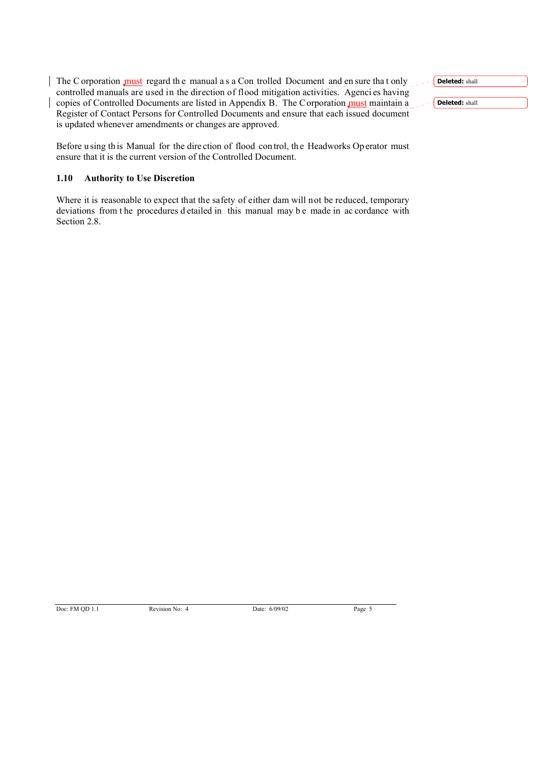The C orporation **must** regard the manual as a Con trolled Document and en sure that only controlled manuals are used in the direction of flood mitigation activities. Agenci es having copies of Controlled Documents are listed in Appendix B. The Corporation must maintain a Register of Contact Persons for Controlled Documents and ensure that each issued document is updated whenever amendments or changes are approved.

**Deleted:** shall

**Deleted:** shall

Before using this Manual for the direction of flood control, the Headworks Operator must ensure that it is the current version of the Controlled Document.

#### **1.10 Authority to Use Discretion**

<span id="page-8-0"></span>Where it is reasonable to expect that the safety of either dam will not be reduced, temporary deviations from t he procedures d etailed in this manual may b e made in ac cordance with Section 2.8.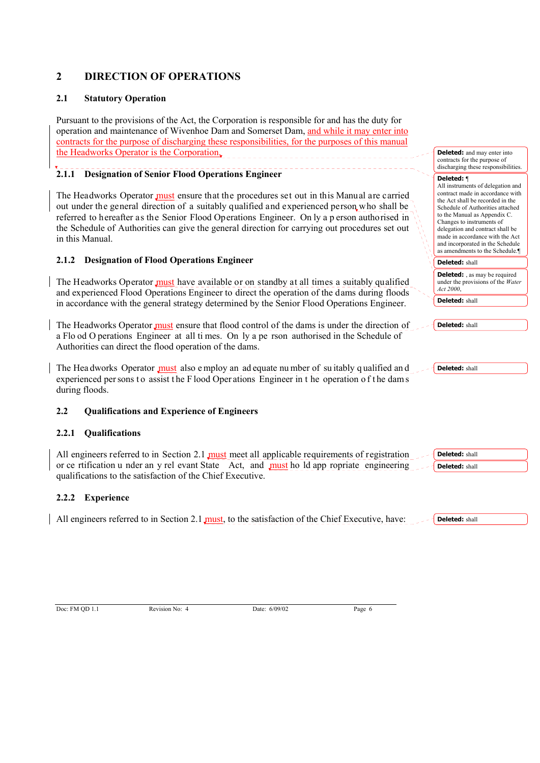# **2 DIRECTION OF OPERATIONS**

## <span id="page-9-0"></span>**2.1 Statutory Operation**

<span id="page-9-1"></span>Pursuant to the provisions of the Act, the Corporation is responsible for and has the duty for operation and maintenance of Wivenhoe Dam and Somerset Dam, and while it may enter into contracts for the purpose of discharging these responsibilities, for the purposes of this manual the Headworks Operator is the Corporation.

## **2.1.1 Designation of Senior Flood Operations Engineer**

<span id="page-9-2"></span>The Headworks Operator *must* ensure that the procedures set out in this Manual are carried out under the general direction of a suitably qualified and experienced person who shall be referred to hereafter as the Senior Flood Operations Engineer. On ly a p erson authorised in the Schedule of Authorities can give the general direction for carrying out procedures set out in this Manual.

## **2.1.2 Designation of Flood Operations Engineer**

| The Headworks Operator must have available or on standby at all times a suitably qualified  |
|---------------------------------------------------------------------------------------------|
| and experienced Flood Operations Engineer to direct the operation of the dams during floods |
| in accordance with the general strategy determined by the Senior Flood Operations Engineer. |

<span id="page-9-3"></span>The Headworks Operator must ensure that flood control of the dams is under the direction of a Flo od O perations Engineer at all ti mes. On ly a pe rson authorised in the Schedule of Authorities can direct the flood operation of the dams.

The Hea dworks Operator must also employ an ad equate number of suitably q ualified and experienced per sons to assist the F lood Operations Engineer in t he operation of the dam s during floods.

## **2.2 Qualifications and Experience of Engineers**

#### **2.2.1 Qualifications**

All engineers referred to in Section 2.1 must meet all applicable requirements of registration or ce rtification u nder an y rel evant State Act, and must ho ld app ropriate engineering qualifications to the satisfaction of the Chief Executive. **Deleted:** shall **Deleted:** shall

## <span id="page-9-4"></span>**2.2.2 Experience**

<span id="page-9-5"></span>All engineers referred to in Section 2.1 must, to the satisfaction of the Chief Executive, have: **Deleted:** shall

<span id="page-9-6"></span>

**Deleted:** and may enter into contracts for the purpose of discharging these responsibilities.

**Deleted:** ¶

All instruments of delegation and contract made in accordance with the Act shall be recorded in the Schedule of Authorities attached to the Manual as Appendix C. Changes to instruments of delegation and contract shall be made in accordance with the Act and incorporated in the Schedule as amendments to the Schedule.¶

#### **Deleted:** shall

**Deleted:** as may be required under the provisions of the *Water Act 2000*,

**Deleted:** shall

**Deleted:** shall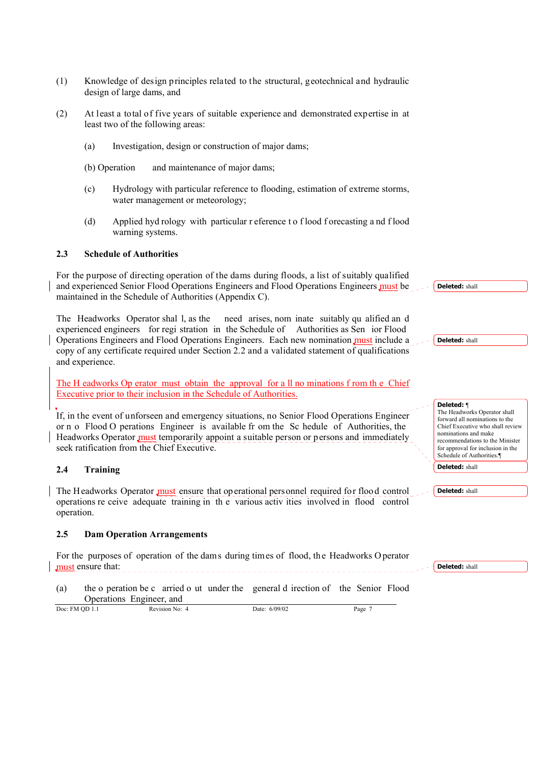- (1) Knowledge of design principles related to the structural, geotechnical and hydraulic design of large dams, and
- (2) At least a total of five years of suitable experience and demonstrated expertise in at least two of the following areas:
	- (a) Investigation, design or construction of major dams;
	- (b) Operation and maintenance of major dams;
	- (c) Hydrology with particular reference to flooding, estimation of extreme storms, water management or meteorology;
	- (d) Applied hyd rology with particular r eference t o f lood f orecasting a nd f lood warning systems.

#### **2.3 Schedule of Authorities**

For the purpose of directing operation of the dams during floods, a list of suitably qualified and experienced Senior Flood Operations Engineers and Flood Operations Engineers must be maintained in the Schedule of Authorities (Appendix C).

<span id="page-10-0"></span>

| The Headworks Operator shall, as the need arises, nominate suitably qualified and<br>experienced engineers for regi stration in the Schedule of Authorities as Sen ior Flood<br>Operations Engineers and Flood Operations Engineers. Each new nomination must include a<br>copy of any certificate required under Section 2.2 and a validated statement of qualifications<br>and experience.                                                                                                      | <b>Deleted:</b> shall                                                                                                                                                                                                                        |
|---------------------------------------------------------------------------------------------------------------------------------------------------------------------------------------------------------------------------------------------------------------------------------------------------------------------------------------------------------------------------------------------------------------------------------------------------------------------------------------------------|----------------------------------------------------------------------------------------------------------------------------------------------------------------------------------------------------------------------------------------------|
| The H eadworks Op erator must obtain the approval for a ll no minations f rom the Chief<br>Executive prior to their inclusion in the Schedule of Authorities.<br>If, in the event of unforseen and emergency situations, no Senior Flood Operations Engineer<br>or n o Flood O perations Engineer is available fr om the Sc hedule of Authorities, the<br>Headworks Operator must temporarily appoint a suitable person or persons and immediately<br>seek ratification from the Chief Executive. | Deleted: ¶<br>The Headworks Operator shall<br>forward all nominations to the<br>Chief Executive who shall review<br>nominations and make<br>recommendations to the Minister<br>for approval for inclusion in the<br>Schedule of Authorities. |
| <b>Training</b><br>2.4                                                                                                                                                                                                                                                                                                                                                                                                                                                                            | <b>Deleted:</b> shall                                                                                                                                                                                                                        |
| The Headworks Operator must ensure that operational personnel required for flood control<br>operations re ceive adequate training in the various activities involved in flood control<br>operation.                                                                                                                                                                                                                                                                                               | <b>Deleted:</b> shall                                                                                                                                                                                                                        |
| 2.5<br><b>Dam Operation Arrangements</b>                                                                                                                                                                                                                                                                                                                                                                                                                                                          |                                                                                                                                                                                                                                              |
| For the purposes of operation of the dams during times of flood, the Headworks Operator<br>must ensure that:<br>-----------------------------                                                                                                                                                                                                                                                                                                                                                     | <b>Deleted:</b> shall                                                                                                                                                                                                                        |

**Deleted:** shall

<span id="page-10-2"></span><span id="page-10-1"></span>(a) the o peration be c arried o ut under the general d irection of the Senior Flood Operations Engineer, and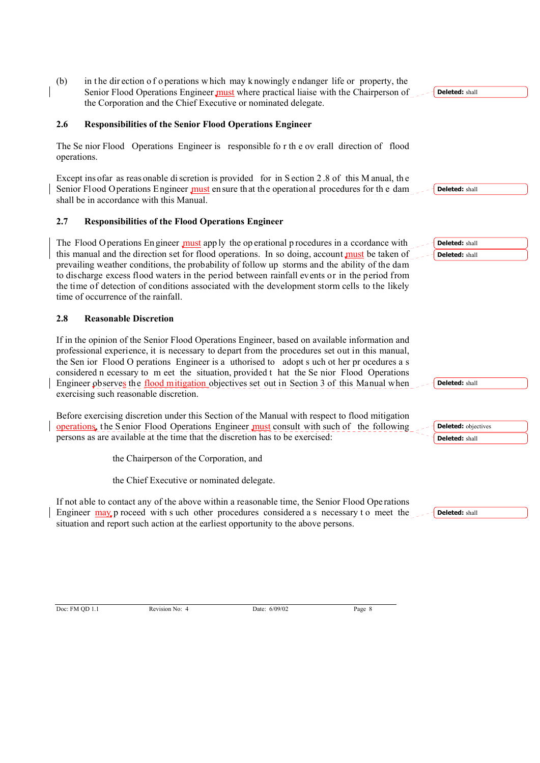<span id="page-11-2"></span><span id="page-11-1"></span><span id="page-11-0"></span>(b) in t he dir ection o f o perations w hich may k nowingly e ndanger life or property, the Senior Flood Operations Engineer *must* where practical liaise with the Chairperson of the Corporation and the Chief Executive or nominated delegate. **2.6 Responsibilities of the Senior Flood Operations Engineer**  The Se nior Flood Operations Engineer is responsible fo r th e ov erall direction of flood operations. Except ins ofar as reas onable discretion is provided for in S ection 2 .8 of this M anual, th e Senior Flood Operations Engineer *must* ensure that the operation al procedures for the dam shall be in accordance with this Manual. **2.7 Responsibilities of the Flood Operations Engineer**  The Flood O perations En gineer must app ly the operational p rocedures in a ccordance with this manual and the direction set for flood operations. In so doing, account must be taken of prevailing weather conditions, the probability of follow up storms and the ability of the dam to discharge excess flood waters in the period between rainfall events or in the period from the time of detection of conditions associated with the development storm cells to the likely time of occurrence of the rainfall. **2.8 Reasonable Discretion**  If in the opinion of the Senior Flood Operations Engineer, based on available information and professional experience, it is necessary to depart from the procedures set out in this manual, the Sen ior Flood O perations Engineer is a uthorised to adopt s uch ot her pr ocedures a s considered n ecessary to m eet the situation, provided t hat the Se nior Flood Operations Engineer observes the flood mitigation objectives set out in Section 3 of this Manual when exercising such reasonable discretion. Before exercising discretion under this Section of the Manual with respect to flood mitigation operations, t he S enior Flood Operations Engineer must consult with such of the following persons as are available at the time that the discretion has to be exercised: the Chairperson of the Corporation, and the Chief Executive or nominated delegate. If not able to contact any of the above within a reasonable time, the Senior Flood Ope rations Engineer  $\max_{\mathbf{z}} p$  roceed with s uch other procedures considered a s necessary t o meet the situation and report such action at the earliest opportunity to the above persons. **Deleted:** shall **Deleted:** shall **Deleted:** shall **Deleted:** shall **Deleted:** shall **Deleted:** objectives **Deleted:** shall **Deleted:** shall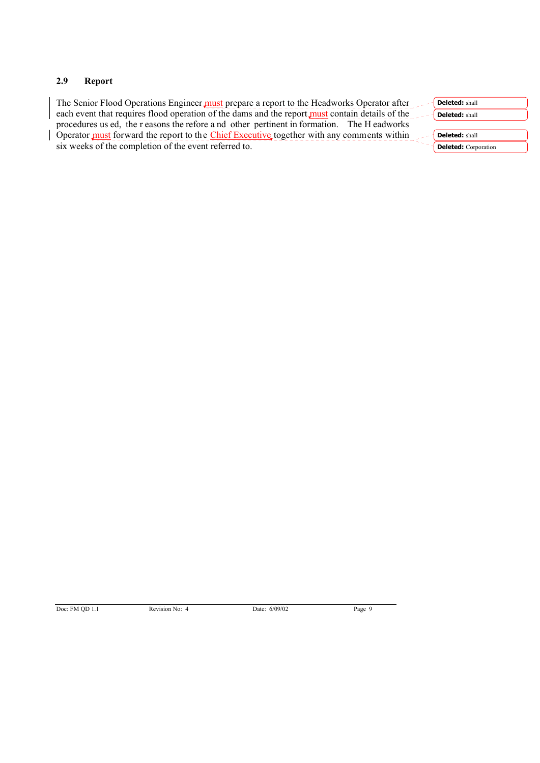# **2.9 Report**

<span id="page-12-0"></span> $\overline{\phantom{a}}$ 

 $\overline{\mathbf{I}}$ 

| The Senior Flood Operations Engineer must prepare a report to the Headworks Operator after      | <b>Deleted:</b> shall       |
|-------------------------------------------------------------------------------------------------|-----------------------------|
| each event that requires flood operation of the dams and the report must contain details of the | Deleted: shall              |
| procedures us ed, the r easons the refore a nd other pertinent in formation. The H eadworks     |                             |
| Operator must forward the report to the Chief Executive together with any comments within       | <b>Deleted:</b> shall       |
| six weeks of the completion of the event referred to.                                           | <b>Deleted:</b> Corporation |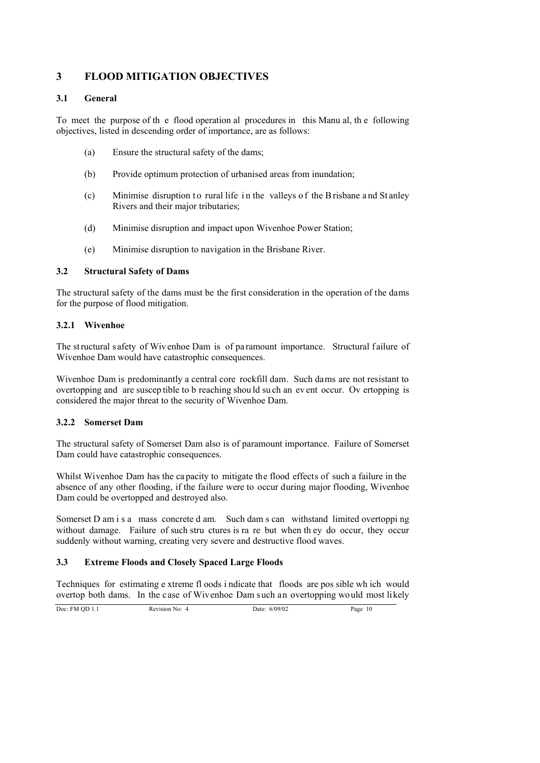## **3 FLOOD MITIGATION OBJECTIVES**

#### <span id="page-13-0"></span>**3.1 General**

<span id="page-13-1"></span>To meet the purpose of th e flood operation al procedures in this Manu al, th e following objectives, listed in descending order of importance, are as follows:

- (a) Ensure the structural safety of the dams;
- (b) Provide optimum protection of urbanised areas from inundation;
- $(c)$  Minimise disruption to rural life in the valleys of the B risbane and St anley Rivers and their major tributaries;
- (d) Minimise disruption and impact upon Wivenhoe Power Station;
- (e) Minimise disruption to navigation in the Brisbane River.

#### **3.2 Structural Safety of Dams**

The structural safety of the dams must be the first consideration in the operation of the dams for the purpose of flood mitigation.

#### <span id="page-13-2"></span>**3.2.1 Wivenhoe**

The st ructural s afety of Wiv enhoe Dam is of pa ramount importance. Structural failure of Wivenhoe Dam would have catastrophic consequences.

<span id="page-13-3"></span>Wivenhoe Dam is predominantly a central core rockfill dam. Such dams are not resistant to overtopping and are suscep tible to b reaching shou ld su ch an ev ent occur. Ov ertopping is considered the major threat to the security of Wivenhoe Dam.

#### **3.2.2 Somerset Dam**

The structural safety of Somerset Dam also is of paramount importance. Failure of Somerset Dam could have catastrophic consequences.

<span id="page-13-4"></span>Whilst Wivenhoe Dam has the ca pacity to mitigate the flood effects of such a failure in the absence of any other flooding, if the failure were to occur during major flooding, Wivenhoe Dam could be overtopped and destroyed also.

Somerset D am i s a mass concrete d am. Such dam s can withstand limited overtoppi ng without damage. Failure of such stru ctures is ra re but when th ey do occur, they occur suddenly without warning, creating very severe and destructive flood waves.

#### **3.3 Extreme Floods and Closely Spaced Large Floods**

<span id="page-13-5"></span>Techniques for estimating e xtreme fl oods i ndicate that floods are pos sible wh ich would overtop both dams. In the case of Wivenhoe Dam such an overtopping would most likely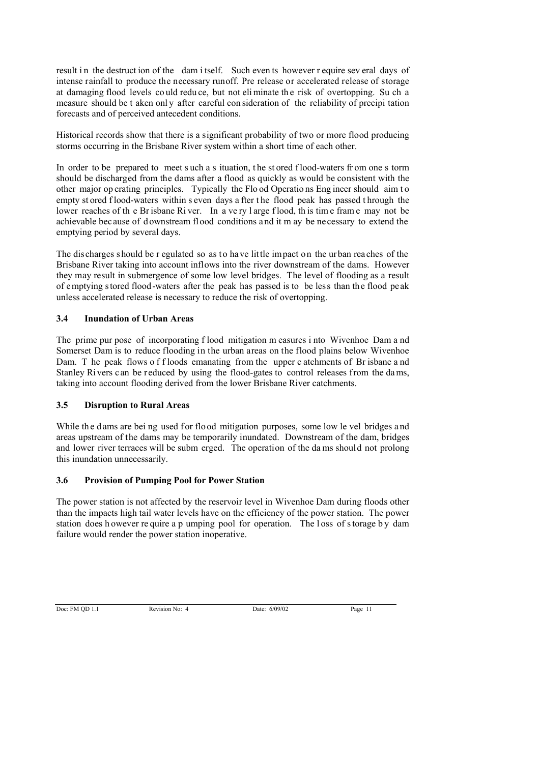result in the destruct ion of the dam i tself. Such even ts however r equire sev eral days of intense rainfall to produce the necessary runoff. Pre release or accelerated release of storage at damaging flood levels co uld redu ce, but not eli minate th e risk of overtopping. Su ch a measure should be t aken onl y after careful con sideration of the reliability of precipi tation forecasts and of perceived antecedent conditions.

Historical records show that there is a significant probability of two or more flood producing storms occurring in the Brisbane River system within a short time of each other.

In order to be prepared to meet s uch a s ituation, t he st ored f lood-waters fr om one s torm should be discharged from the dams after a flood as quickly as would be consistent with the other major op erating principles. Typically the Flo od Operatio ns Eng ineer should aim t o empty st ored flood-waters within s even days a fter the flood peak has passed through the lower reaches of th e Br isbane Ri ver. In a ve ry l arge f lood, th is tim e fram e may not be achievable because of downstream flood conditions and it m ay be necessary to extend the emptying period by several days.

The discharges should be r egulated so as to have little impact on the urban reaches of the Brisbane River taking into account inflows into the river downstream of the dams. However they may result in submergence of some low level bridges. The level of flooding as a result of emptying stored flood-waters after the peak has passed is to be less than the flood peak unless accelerated release is necessary to reduce the risk of overtopping.

## **3.4 Inundation of Urban Areas**

<span id="page-14-0"></span>The prime pur pose of incorporating f lood mitigation m easures i nto Wivenhoe Dam a nd Somerset Dam is to reduce flooding in the urban areas on the flood plains below Wivenhoe Dam. T he peak flows of f loods emanating from the upper c atchments of Br isbane a nd Stanley Rivers can be reduced by using the flood-gates to control releases from the dams, taking into account flooding derived from the lower Brisbane River catchments.

## **3.5 Disruption to Rural Areas**

While the dams are bei ng used for flood mitigation purposes, some low le vel bridges and areas upstream of the dams may be temporarily inundated. Downstream of the dam, bridges and lower river terraces will be subm erged. The operation of the da ms should not prolong this inundation unnecessarily.

## <span id="page-14-1"></span>**3.6 Provision of Pumping Pool for Power Station**

<span id="page-14-2"></span>The power station is not affected by the reservoir level in Wivenhoe Dam during floods other than the impacts high tail water levels have on the efficiency of the power station. The power station does h owever require a p umping pool for operation. The loss of s torage by dam failure would render the power station inoperative.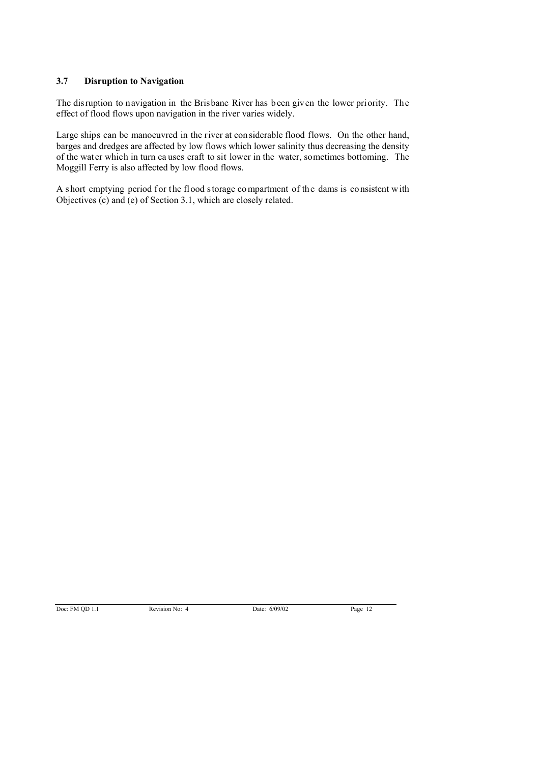#### **3.7 Disruption to Navigation**

<span id="page-15-0"></span>The disruption to navigation in the Brisbane River has been given the lower priority. The effect of flood flows upon navigation in the river varies widely.

Large ships can be manoeuvred in the river at con siderable flood flows. On the other hand, barges and dredges are affected by low flows which lower salinity thus decreasing the density of the water which in turn ca uses craft to sit lower in the water, sometimes bottoming. The Moggill Ferry is also affected by low flood flows.

A short emptying period for the flood storage co mpartment of the dams is consistent with Objectives (c) and (e) of Section 3.1, which are closely related.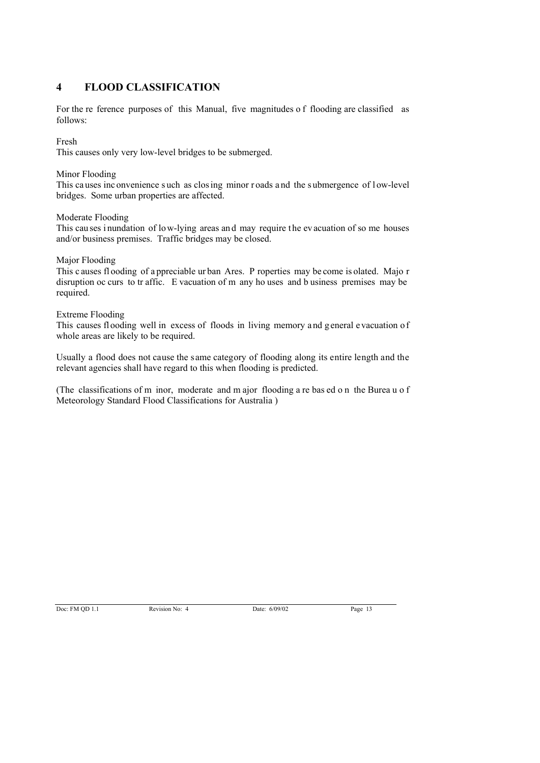## **4 FLOOD CLASSIFICATION**

<span id="page-16-0"></span>For the re ference purposes of this Manual, five magnitudes o f flooding are classified as follows:

#### Fresh

This causes only very low-level bridges to be submerged.

#### Minor Flooding

This ca uses inc onvenience s uch as clos ing minor r oads a nd the s ubmergence of l ow-level bridges. Some urban properties are affected.

#### Moderate Flooding

This cau ses i nundation of low-lying areas and may require the ev acuation of so me houses and/or business premises. Traffic bridges may be closed.

## Major Flooding

This c auses fl ooding of a ppreciable ur ban Ares. P roperties may be come is olated. Majo r disruption oc curs to tr affic. E vacuation of m any ho uses and b usiness premises may be required.

#### Extreme Flooding

This causes flooding well in excess of floods in living memory and general evacuation of whole areas are likely to be required.

Usually a flood does not cause the same category of flooding along its entire length and the relevant agencies shall have regard to this when flooding is predicted.

(The classifications of m inor, moderate and m ajor flooding a re bas ed o n the Burea u o f Meteorology Standard Flood Classifications for Australia )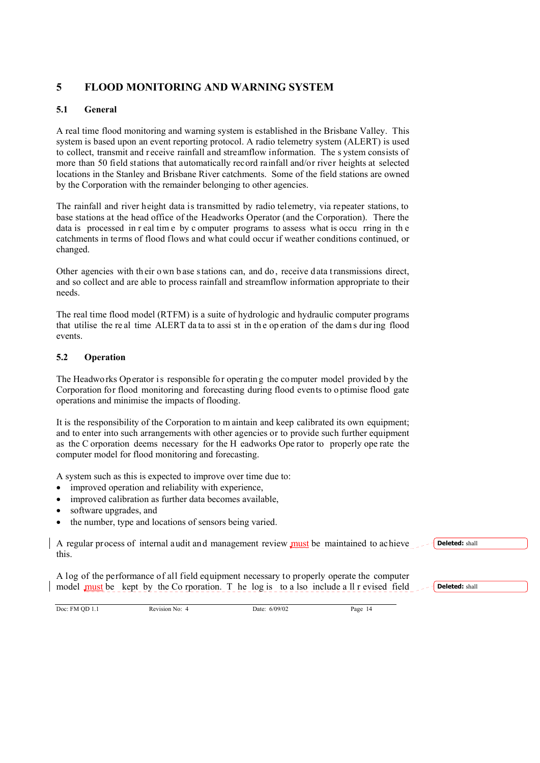## **5 FLOOD MONITORING AND WARNING SYSTEM**

## <span id="page-17-0"></span>**5.1 General**

<span id="page-17-1"></span>A real time flood monitoring and warning system is established in the Brisbane Valley. This system is based upon an event reporting protocol. A radio telemetry system (ALERT) is used to collect, transmit and r eceive rainfall and streamflow information. The s ystem consists of more than 50 field stations that automatically record rainfall and/or river heights at selected locations in the Stanley and Brisbane River catchments. Some of the field stations are owned by the Corporation with the remainder belonging to other agencies.

The rainfall and river height data is transmitted by radio telemetry, via repeater stations, to base stations at the head office of the Headworks Operator (and the Corporation). There the data is processed in r eal tim e by c omputer programs to assess what is occu rring in th e catchments in terms of flood flows and what could occur if weather conditions continued, or changed.

Other agencies with their own base stations can, and do, receive data transmissions direct, and so collect and are able to process rainfall and streamflow information appropriate to their needs.

The real time flood model (RTFM) is a suite of hydrologic and hydraulic computer programs that utilise the re al time ALERT da ta to assi st in th e op eration of the dam s dur ing flood events.

## **5.2 Operation**

The Headwo rks Operator is responsible for operating the computer model provided by the Corporation for flood monitoring and forecasting during flood events to o ptimise flood gate operations and minimise the impacts of flooding.

<span id="page-17-2"></span>It is the responsibility of the Corporation to m aintain and keep calibrated its own equipment; and to enter into such arrangements with other agencies or to provide such further equipment as the C orporation deems necessary for the H eadworks Ope rator to properly ope rate the computer model for flood monitoring and forecasting.

A system such as this is expected to improve over time due to:

- improved operation and reliability with experience,
- improved calibration as further data becomes available,
- software upgrades, and
- the number, type and locations of sensors being varied.

| A regular process of internal audit and management review $_{\text{must}}$ be maintained to achieve |  |
|-----------------------------------------------------------------------------------------------------|--|
| this.                                                                                               |  |
|                                                                                                     |  |

A log of the performance of all field equipment necessary to properly operate the computer model **must** be kept by the Co rporation. T he log is to a lso include a ll r evised field **Deleted:** shall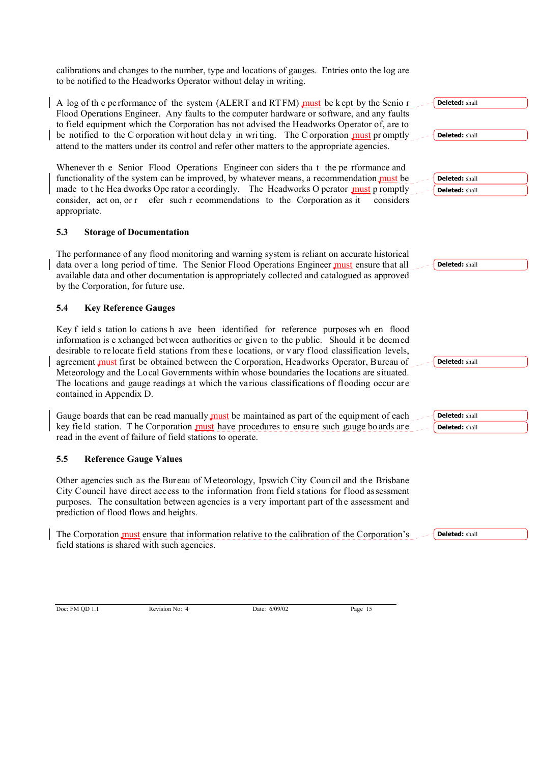calibrations and changes to the number, type and locations of gauges. Entries onto the log are to be notified to the Headworks Operator without delay in writing.

A log of the performance of the system (ALERT and RTFM) **must** be kept by the Senio r Flood Operations Engineer. Any faults to the computer hardware or software, and any faults to field equipment which the Corporation has not advised the Headworks Operator of, are to be notified to the C orporation without delay in writing. The C orporation must pr omptly attend to the matters under its control and refer other matters to the appropriate agencies. Whenever th e Senior Flood Operations Engineer con siders tha t the pe rformance and functionality of the system can be improved, by whatever means, a recommendation must be made to the Hea dworks Ope rator a ccordingly. The Headworks O perator must p romptly consider, act on, or r efer such r ecommendations to the Corporation as it considers appropriate. **5.3 Storage of Documentation**  The performance of any flood monitoring and warning system is reliant on accurate historical data over a long period of time. The Senior Flood Operations Engineer must ensure that all available data and other documentation is appropriately collected and catalogued as approved by the Corporation, for future use. **5.4 Key Reference Gauges**  Key f ield s tation lo cations h ave been identified for reference purposes wh en flood information is e xchanged between authorities or given to the public. Should it be deemed desirable to relocate field stations from these locations, or v ary flood classification levels, agreement **must** first be obtained between the Corporation, Headworks Operator, Bureau of Meteorology and the Local Governments within whose boundaries the locations are situated. The locations and gauge readings at which the various classifications of flooding occur are contained in Appendix D. Gauge boards that can be read manually **must** be maintained as part of the equipment of each **Deleted:** shall **Deleted:** shall **Deleted:** shall **Deleted:** shall **Deleted:** shall **Deleted:** shall **Deleted:** shall

<span id="page-18-1"></span><span id="page-18-0"></span>key field station. The Corporation **must** have procedures to ensure such gauge bo ards are read in the event of failure of field stations to operate.

## **5.5 Reference Gauge Values**

Other agencies such as the Bureau of Meteorology, Ipswich City Council and the Brisbane City Council have direct access to the information from field stations for flood assessment purposes. The consultation between agencies is a very important part of the assessment and prediction of flood flows and heights.

<span id="page-18-2"></span>The Corporation **must** ensure that information relative to the calibration of the Corporation's field stations is shared with such agencies. **Deleted:** shall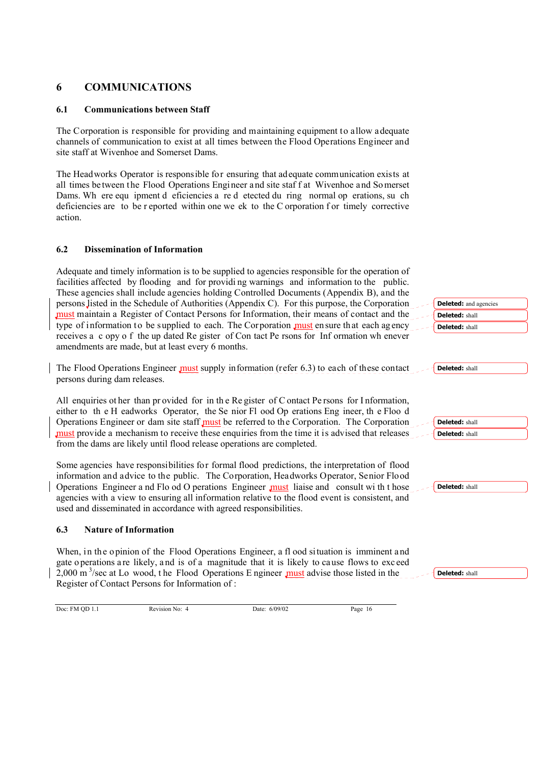## **6 COMMUNICATIONS**

#### <span id="page-19-0"></span>**6.1 Communications between Staff**

<span id="page-19-1"></span>The Corporation is responsible for providing and maintaining equipment to allow adequate channels of communication to exist at all times between the Flood Operations Engineer and site staff at Wivenhoe and Somerset Dams.

The Headworks Operator is responsible for ensuring that adequate communication exists at all times between the Flood Operations Engineer and site staf f at Wivenhoe and So merset Dams. Wh ere equ ipment d eficiencies a re d etected du ring normal op erations, su ch deficiencies are to be r eported within one we ek to the C orporation f or timely corrective action.

## **6.2 Dissemination of Information**

<span id="page-19-2"></span>Adequate and timely information is to be supplied to agencies responsible for the operation of facilities affected by flooding and for providi ng warnings and information to the public. These agencies shall include agencies holding Controlled Documents (Appendix B), and the persons listed in the Schedule of Authorities (Appendix C). For this purpose, the Corporation must maintain a Register of Contact Persons for Information, their means of contact and the type of information to be supplied to each. The Corporation must en sure th at each ag ency receives a c opy o f the up dated Re gister of Con tact Pe rsons for Inf ormation wh enever amendments are made, but at least every 6 months.

The Flood Operations Engineer must supply information (refer 6.3) to each of these contact persons during dam releases.

All enquiries ot her than pr ovided for in th e Re gister of C ontact Pe rsons for I nformation, either to th e H eadworks Operator, the Se nior Fl ood Op erations Eng ineer, th e Floo d Operations Engineer or dam site staff must be referred to the Corporation. The Corporation must provide a mechanism to receive these enquiries from the time it is advised that releases from the dams are likely until flood release operations are completed.

Some agencies have responsibilities for formal flood predictions, the interpretation of flood information and advice to the public. The Corporation, Headworks Operator, Senior Flood Operations Engineer a nd Flo od O perations Engineer *must* liaise and consult with those agencies with a view to ensuring all information relative to the flood event is consistent, and used and disseminated in accordance with agreed responsibilities.

#### **6.3 Nature of Information**

When, in the opinion of the Flood Operations Engineer, a fl ood situation is imminent and gate o perations a re likely, a nd is of a magnitude that it is likely to ca use flows to exc eed  $2,000 \text{ m}^3/\text{sec}$  at Lo wood, the Flood Operations E ngineer  $\frac{\text{must}}{\text{must}}$  advise those listed in the Register of Contact Persons for Information of :

<span id="page-19-3"></span>Doc: FM QD 1.1 Revision No: 4 Date: 6/09/02 Page 16

**Deleted:** and agencies **Deleted:** shall **Deleted:** shall

**Deleted:** shall

**Deleted:** shall **Deleted:** shall

**Deleted:** shall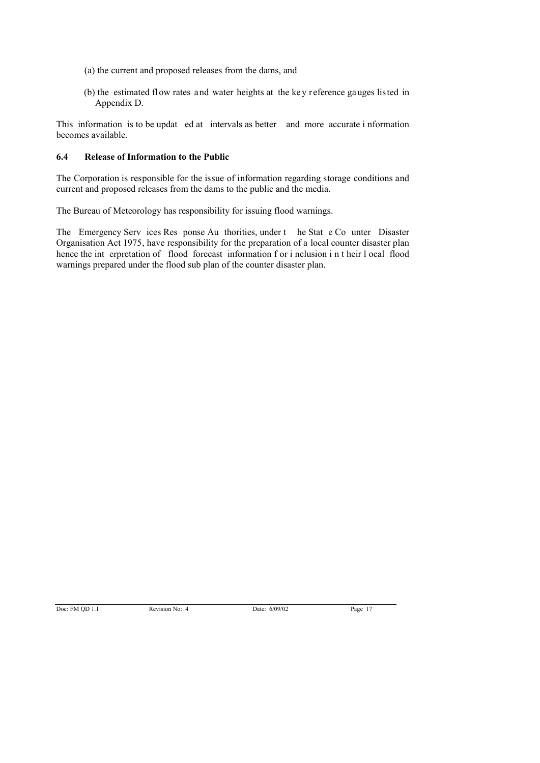- (a) the current and proposed releases from the dams, and
- (b) the estimated flow rates and water heights at the key reference gauges listed in Appendix D.

This information is to be updat ed at intervals as better and more accurate i nformation becomes available.

#### **6.4 Release of Information to the Public**

<span id="page-20-0"></span>The Corporation is responsible for the issue of information regarding storage conditions and current and proposed releases from the dams to the public and the media.

The Bureau of Meteorology has responsibility for issuing flood warnings.

The Emergency Serv ices Res ponse Au thorities, under t he Stat e Co unter Disaster Organisation Act 1975, have responsibility for the preparation of a local counter disaster plan hence the int erpretation of flood forecast information f or i nclusion i n t heir l ocal flood warnings prepared under the flood sub plan of the counter disaster plan.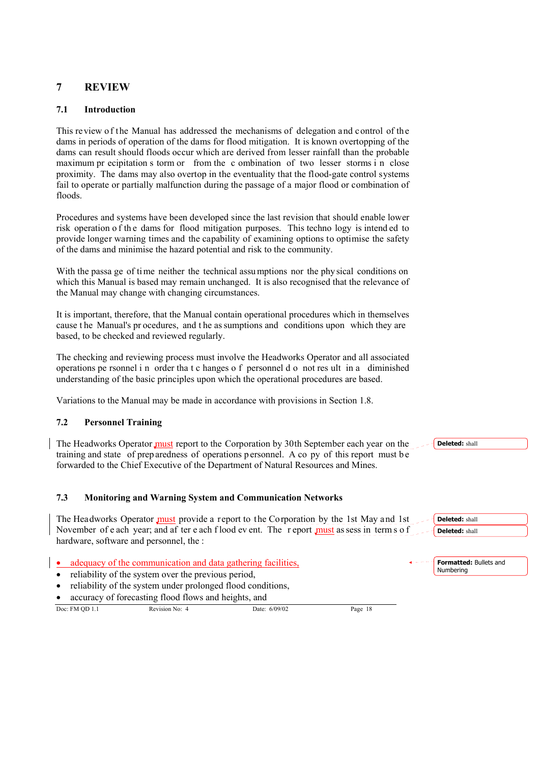## **7 REVIEW**

#### <span id="page-21-0"></span>**7.1 Introduction**

<span id="page-21-1"></span>This review of the Manual has addressed the mechanisms of delegation and control of the dams in periods of operation of the dams for flood mitigation. It is known overtopping of the dams can result should floods occur which are derived from lesser rainfall than the probable maximum pr ecipitation s torm or from the c ombination of two lesser storms i n close proximity. The dams may also overtop in the eventuality that the flood-gate control systems fail to operate or partially malfunction during the passage of a major flood or combination of floods.

Procedures and systems have been developed since the last revision that should enable lower risk operation o f th e dams for flood mitigation purposes. This techno logy is intend ed to provide longer warning times and the capability of examining options to optimise the safety of the dams and minimise the hazard potential and risk to the community.

With the passa ge of time neither the technical assumptions nor the phy sical conditions on which this Manual is based may remain unchanged. It is also recognised that the relevance of the Manual may change with changing circumstances.

It is important, therefore, that the Manual contain operational procedures which in themselves cause t he Manual's pr ocedures, and t he as sumptions and conditions upon which they are based, to be checked and reviewed regularly.

The checking and reviewing process must involve the Headworks Operator and all associated operations pe rsonnel i n order tha t c hanges o f personnel d o not res ult in a diminished understanding of the basic principles upon which the operational procedures are based.

Variations to the Manual may be made in accordance with provisions in Section 1.8.

#### **7.2 Personnel Training**

| The Headworks Operator must report to the Corporation by 30th September each year on the   |
|--------------------------------------------------------------------------------------------|
| training and state of preparedness of operations personnel. A co py of this report must be |
| forwarded to the Chief Executive of the Department of Natural Resources and Mines.         |

#### <span id="page-21-2"></span>**7.3 Monitoring and Warning System and Communication Networks**

The Headworks Operator must provide a report to the Corporation by the 1st May and 1st November of e ach year; and af ter e ach f lood ev ent. The r eport must as sess in term s o f hardware, software and personnel, the : **Deleted:** shall **Deleted:** shall

- <span id="page-21-3"></span>• adequacy of the communication and data gathering facilities,
- reliability of the system over the previous period,
- reliability of the system under prolonged flood conditions,
- accuracy of forecasting flood flows and heights, and

Doc: FM QD 1.1 Revision No: 4 Date: 6/09/02 Page 18

**Formatted:** Bullets and

Numbering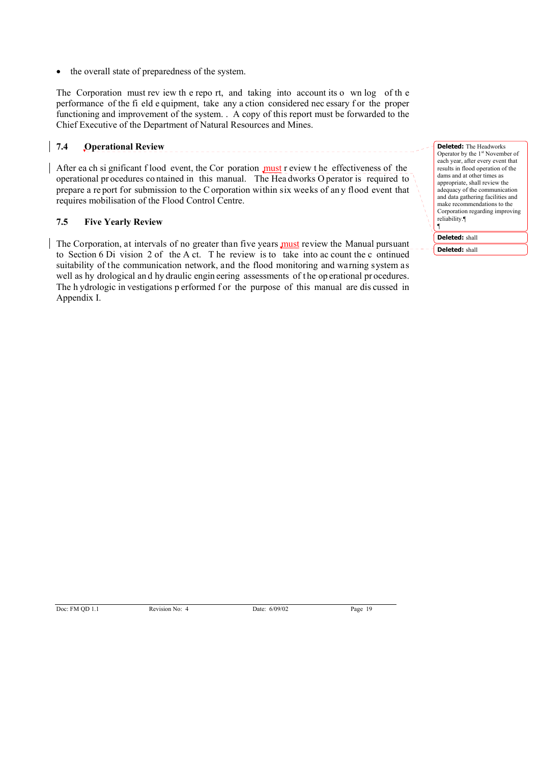• the overall state of preparedness of the system.

The Corporation must rev iew th e repo rt, and taking into account its o wn log of th e performance of the fi eld e quipment, take any a ction considered nec essary f or the proper functioning and improvement of the system. . A copy of this report must be forwarded to the Chief Executive of the Department of Natural Resources and Mines.

## **7.4 Operational Review**

<span id="page-22-0"></span>After ea ch si gnificant f lood event, the Cor poration **must** r eview t he effectiveness of the operational pr ocedures co ntained in this manual. The Hea dworks O perator is required to prepare a re port for submission to the C orporation within six weeks of an y flood event that requires mobilisation of the Flood Control Centre.

#### **7.5 Five Yearly Review**

<span id="page-22-1"></span>The Corporation, at intervals of no greater than five years **must** review the Manual pursuant to Section 6 Di vision 2 of the A ct. T he review is to take into ac count the c ontinued suitability of the communication network, and the flood monitoring and warning system as well as hy drological and hy draulic engin eering assessments of the operational procedures. The h ydrologic in vestigations p erformed f or the purpose of this manual are dis cussed in Appendix I.

**Deleted:** The Headworks Operator by the 1<sup>st</sup> November of each year, after every event that results in flood operation of the dams and at other times as appropriate, shall review the adequacy of the communication and data gathering facilities and make recommendations to the Corporation regarding improving reliability.¶ ¶

**Deleted:** shall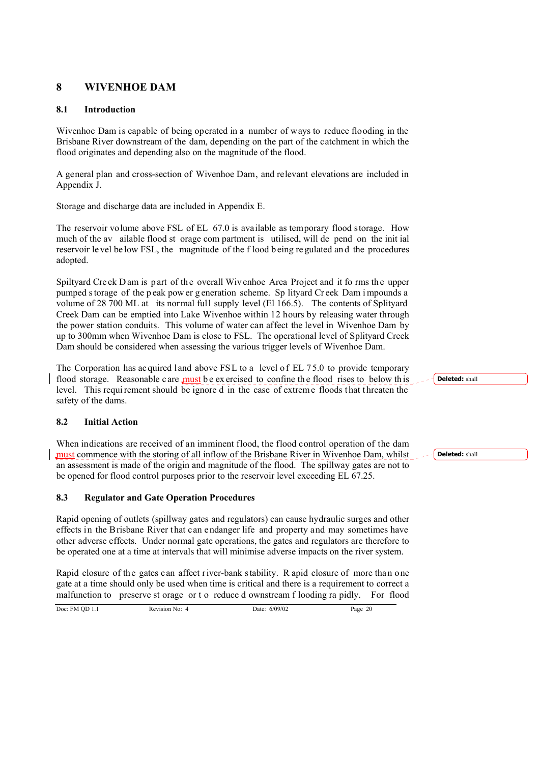## **8 WIVENHOE DAM**

#### <span id="page-23-0"></span>**8.1 Introduction**

<span id="page-23-1"></span>Wivenhoe Dam is capable of being operated in a number of ways to reduce flooding in the Brisbane River downstream of the dam, depending on the part of the catchment in which the flood originates and depending also on the magnitude of the flood.

A general plan and cross-section of Wivenhoe Dam, and relevant elevations are included in Appendix J.

Storage and discharge data are included in Appendix E.

The reservoir volume above FSL of EL 67.0 is available as temporary flood storage. How much of the av ailable flood st orage com partment is utilised, will de pend on the init ial reservoir le vel be low FSL, the magnitude of the f lood b eing re gulated an d the procedures adopted.

Spiltyard Cre ek D am is p art of the overall Wiv enhoe Area Project and it forms the upper pumped s torage of the p eak pow er g eneration scheme. Sp lityard Cr eek Dam i mpounds a volume of 28 700 ML at its normal full supply level (El 166.5). The contents of Splityard Creek Dam can be emptied into Lake Wivenhoe within 12 hours by releasing water through the power station conduits. This volume of water can affect the level in Wivenhoe Dam by up to 300mm when Wivenhoe Dam is close to FSL. The operational level of Splityard Creek Dam should be considered when assessing the various trigger levels of Wivenhoe Dam.

The Corporation has acquired land above FSL to a level of EL 75.0 to provide temporary flood storage. Reasonable care must be exercised to confine the flood rises to below this level. This requi rement should be ignore d in the case of extreme floods that threaten the safety of the dams.

#### **8.2 Initial Action**

When indications are received of an imminent flood, the flood control operation of the dam must commence with the storing of all inflow of the Brisbane River in Wivenhoe Dam, whilst an assessment is made of the origin and magnitude of the flood. The spillway gates are not to be opened for flood control purposes prior to the reservoir level exceeding EL 67.25.

#### <span id="page-23-2"></span>**8.3 Regulator and Gate Operation Procedures**

Rapid opening of outlets (spillway gates and regulators) can cause hydraulic surges and other effects in the Brisbane River that can endanger life and property and may sometimes have other adverse effects. Under normal gate operations, the gates and regulators are therefore to be operated one at a time at intervals that will minimise adverse impacts on the river system.

<span id="page-23-3"></span>Rapid closure of the gates can affect river-bank stability. R apid closure of more than one gate at a time should only be used when time is critical and there is a requirement to correct a malfunction to preserve st orage or t o reduce d ownstream f looding ra pidly. For flood

Doc: FM QD 1.1 Revision No: 4 Date: 6/09/02 Page 20

**Deleted:** shall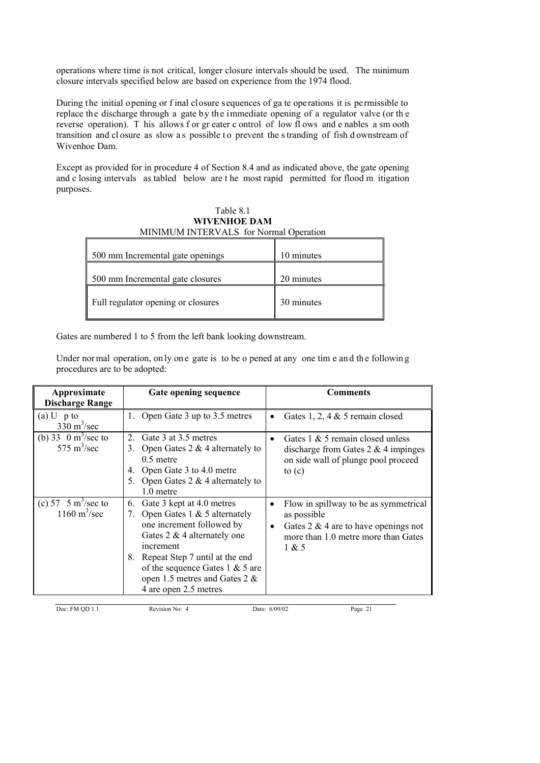operations where time is not critical, longer closure intervals should be used. The minimum closure intervals specified below are based on experience from the 1974 flood.

During the initial opening or f inal closure sequences of ga te operations it is permissible to replace the discharge through a gate by the immediate opening of a regulator valve (or th e reverse operation). T his allows f or gr eater c ontrol of low fl ows and e nables a sm ooth transition and closure as slow as possible to prevent the stranding of fish downstream of Wivenhoe Dam.

Except as provided for in procedure 4 of Section 8.4 and as indicated above, the gate opening and c losing intervals as tabled below are t he most rapid permitted for flood m itigation purposes.

 $T<sub>1</sub> <sub>8.1</sub>$ 

| Table 8.1                              |            |  |
|----------------------------------------|------------|--|
| <b>WIVENHOE DAM</b>                    |            |  |
| MINIMUM INTERVALS for Normal Operation |            |  |
|                                        |            |  |
| 500 mm Incremental gate openings       | 10 minutes |  |
|                                        |            |  |
| 500 mm Incremental gate closures       | 20 minutes |  |
| Full regulator opening or closures     | 30 minutes |  |

Gates are numbered 1 to 5 from the left bank looking downstream.

Under nor mal operation, on ly on e gate is to be o pened at any one time and the following procedures are to be adopted:

| Approximate                                                         | Gate opening sequence                                                                                                                                                                                                                                                                     | <b>Comments</b>                                                                                                                                 |
|---------------------------------------------------------------------|-------------------------------------------------------------------------------------------------------------------------------------------------------------------------------------------------------------------------------------------------------------------------------------------|-------------------------------------------------------------------------------------------------------------------------------------------------|
| <b>Discharge Range</b>                                              |                                                                                                                                                                                                                                                                                           |                                                                                                                                                 |
| (a) $U$ p to<br>$330 \text{ m}^3/\text{sec}$                        | 1. Open Gate 3 up to 3.5 metres                                                                                                                                                                                                                                                           | Gates 1, 2, 4 $\&$ 5 remain closed                                                                                                              |
| (b) 33 0 $\text{m}^3/\text{sec}$ to<br>$575 \text{ m}^3/\text{sec}$ | 2<br>Gate 3 at 3.5 metres<br>Open Gates $2 \& 4$ alternately to<br>3.<br>$0.5$ metre<br>Open Gate 3 to 4.0 metre<br>4.<br>5.<br>Open Gates $2 \& 4$ alternately to<br>1.0 metre                                                                                                           | Gates $1 \& 5$ remain closed unless<br>discharge from Gates $2 \& 4$ impinges<br>on side wall of plunge pool proceed<br>to $(c)$                |
| (c) 57 5 m <sup>3</sup> /sec to<br>$1160 \text{ m}^3/\text{sec}$    | Gate 3 kept at 4.0 metres<br>6.<br>Open Gates $1 \& 5$ alternately<br>7.<br>one increment followed by<br>Gates $2 \& 4$ alternately one<br>increment<br>8. Repeat Step 7 until at the end<br>of the sequence Gates $1 \& 5$ are<br>open 1.5 metres and Gates 2 &<br>4 are open 2.5 metres | Flow in spillway to be as symmetrical<br>as possible<br>Gates $2 \& 4$ are to have openings not<br>more than 1.0 metre more than Gates<br>1 & 5 |

<span id="page-24-0"></span>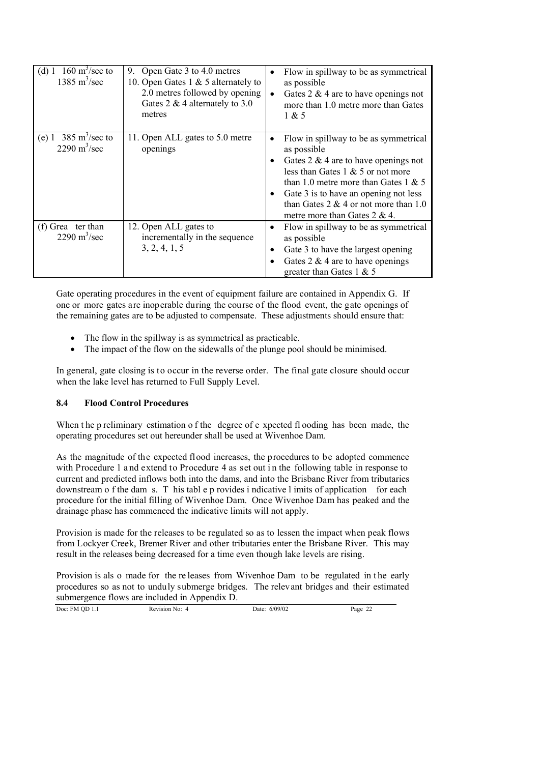| $160 \text{ m}^3/\text{sec}$ to<br>$(d)$ 1<br>$1385 \text{ m}^3/\text{sec}$ | Open Gate 3 to 4.0 metres<br>9.<br>10. Open Gates 1 $&$ 5 alternately to<br>2.0 metres followed by opening<br>Gates 2 & 4 alternately to $3.0$<br>metres | Flow in spillway to be as symmetrical<br>as possible<br>Gates 2 $\&$ 4 are to have openings not<br>$\bullet$<br>more than 1.0 metre more than Gates<br>1 & 5                                                                                                                                             |
|-----------------------------------------------------------------------------|----------------------------------------------------------------------------------------------------------------------------------------------------------|----------------------------------------------------------------------------------------------------------------------------------------------------------------------------------------------------------------------------------------------------------------------------------------------------------|
| $385 \text{ m}^3/\text{sec}$ to<br>$(e)$ 1<br>$2290 \text{ m}^3/\text{sec}$ | 11. Open ALL gates to 5.0 metre<br>openings                                                                                                              | Flow in spillway to be as symmetrical<br>as possible<br>Gates $2 \& 4$ are to have openings not<br>less than Gates $1 \& 5$ or not more<br>than 1.0 metre more than Gates 1 & 5<br>Gate 3 is to have an opening not less<br>than Gates $2 \& 4$ or not more than 1.0<br>metre more than Gates $2 \& 4$ . |
| (f) Grea ter than<br>$2290 \text{ m}^3/\text{sec}$                          | 12. Open ALL gates to<br>incrementally in the sequence<br>3, 2, 4, 1, 5                                                                                  | Flow in spillway to be as symmetrical<br>as possible<br>Gate 3 to have the largest opening<br>Gates $2 \& 4$ are to have openings<br>greater than Gates $1 \& 5$                                                                                                                                         |

Gate operating procedures in the event of equipment failure are contained in Appendix G. If one or more gates are inoperable during the course of the flood event, the gate openings of the remaining gates are to be adjusted to compensate. These adjustments should ensure that:

- The flow in the spillway is as symmetrical as practicable.
- The impact of the flow on the sidewalls of the plunge pool should be minimised.

In general, gate closing is to occur in the reverse order. The final gate closure should occur when the lake level has returned to Full Supply Level.

#### **8.4 Flood Control Procedures**

When the p reliminary estimation of the degree of e xpected fl ooding has been made, the operating procedures set out hereunder shall be used at Wivenhoe Dam.

<span id="page-25-0"></span>As the magnitude of the expected flood increases, the procedures to be adopted commence with Procedure 1 a nd extend to Procedure 4 as set out i n the following table in response to current and predicted inflows both into the dams, and into the Brisbane River from tributaries downstream o f the dam s. T his tabl e p rovides i ndicative l imits of application for each procedure for the initial filling of Wivenhoe Dam. Once Wivenhoe Dam has peaked and the drainage phase has commenced the indicative limits will not apply.

Provision is made for the releases to be regulated so as to lessen the impact when peak flows from Lockyer Creek, Bremer River and other tributaries enter the Brisbane River. This may result in the releases being decreased for a time even though lake levels are rising.

Provision is als o made for the releases from Wivenhoe Dam to be regulated in the early procedures so as not to unduly submerge bridges. The relevant bridges and their estimated submergence flows are included in Appendix D.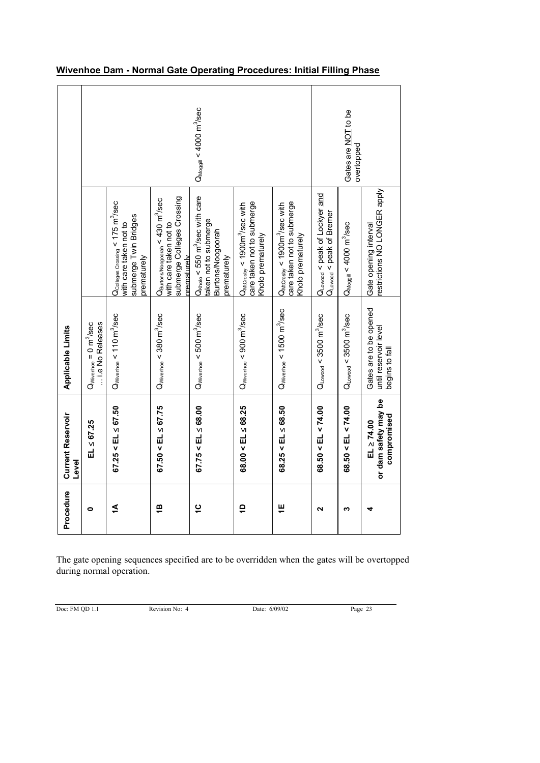|                                          |                                                                     |                                                                                                                               |                                                                                                         | $Q_{\text{Moggill}} < 4000 \text{ m}^3/\text{sec}$                                                                     |                                                                                                            |                                                                                                            |                                                                                   | Gates are NOT to be<br>overtopped                  |                                                                   |
|------------------------------------------|---------------------------------------------------------------------|-------------------------------------------------------------------------------------------------------------------------------|---------------------------------------------------------------------------------------------------------|------------------------------------------------------------------------------------------------------------------------|------------------------------------------------------------------------------------------------------------|------------------------------------------------------------------------------------------------------------|-----------------------------------------------------------------------------------|----------------------------------------------------|-------------------------------------------------------------------|
|                                          |                                                                     | $Q_{\text{Colleges Crossing}} < 175 \text{ m}^3/\text{sec}$<br>submerge Twin Bridges<br>with care taken not to<br>prematurely | submerge Colleges Crossing<br>$QBurtons/Noogoran < 430 m3/sec$<br>with care taken not to<br>orematurely | $Q_{\text{Knolo}} < 550 \text{ m}^3/\text{sec}$ with care<br>taken not to submerge<br>Burtons/Noogoorah<br>prematurely | care taken not to submerge<br>$Q_{\text{Microsby}} < 1900 \text{m}^3/\text{sec}$ with<br>Kholo prematurely | care taken not to submerge<br>$Q_{\text{Microsby}} < 1900 \text{m}^3/\text{sec}$ with<br>Kholo prematurely | Q <sub>Lowood</sub> < peak of Lockyer and<br>$Q_{\text{Lowood}}$ < peak of Bremer | $Q_{\text{Moggill}} < 4000 \text{ m}^3/\text{sec}$ | restrictions NO LONGER apply<br>Gate opening interval             |
| <b>Applicable Limits</b>                 | $Q_{\text{Wiventoe}} = 0 \text{ m}^3/\text{sec}$<br>i.e No Releases | $Q_{\text{Wivenhoe}} < 110 \text{ m}^3/\text{sec}$                                                                            | $Q_{\text{Wivenhoe}}$ < 380 m <sup>3</sup> /sec                                                         | $Q_{\text{Wivenhoe}}$ < 500 m <sup>3</sup> /sec                                                                        | $Q_{\text{Wisenboe}}$ < 900 m <sup>3</sup> /sec                                                            | $Q_{\text{Wiventree}} < 1500 \text{ m}^3/\text{sec}$                                                       | $Q_{\text{Lowood}} < 3500 \text{ m}^3/\text{sec}$                                 | $Q_{\text{Lowood}}$ < 3500 m <sup>3</sup> /sec     | Gates are to be opened<br>until reservoir level<br>begins to fall |
| <b>Current Reservoir</b><br><u>level</u> | $EL \leq 67.25$                                                     | $67.25 < EL \le 67.50$                                                                                                        | $67.50 < EL \le 67.75$                                                                                  | $67.75 < EL \le 68.00$                                                                                                 | $68.00 < EL \le 68.25$                                                                                     | $68.25 < EL \le 68.50$                                                                                     | 68.50 < EL < 74.00                                                                | 68.50 < EL < 74.00                                 | or dam safety may be<br>compromised<br>$EL \ge 74.00$             |
| Procedure                                | 0                                                                   | $\overline{A}$                                                                                                                | é                                                                                                       | $\frac{0}{\tau}$                                                                                                       | $\frac{1}{2}$                                                                                              | π                                                                                                          | $\mathbf{\Omega}$                                                                 | ო                                                  |                                                                   |

# **Wivenhoe Dam - Normal Gate Operating Procedures: Initial Filling Phase**

The gate opening sequences specified are to be overridden when the gates will be overtopped during normal operation.

 $\Gamma$ 

Doc: FM QD 1.1 Revision No: 4 Date: 6/09/02 Page 23

 $\overline{1}$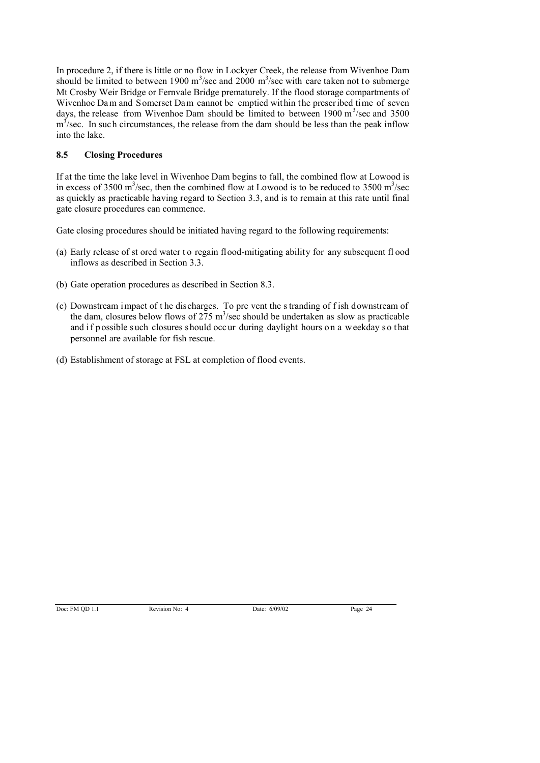In procedure 2, if there is little or no flow in Lockyer Creek, the release from Wivenhoe Dam should be limited to between 1900  $m^3$ /sec and 2000  $m^3$ /sec with care taken not to submerge Mt Crosby Weir Bridge or Fernvale Bridge prematurely. If the flood storage compartments of Wivenhoe Dam and Somerset Dam cannot be emptied within the prescribed time of seven days, the release from Wivenhoe Dam should be limited to between  $1900 \text{ m}^3/\text{sec}$  and  $3500$  $m<sup>3</sup>/sec$ . In such circumstances, the release from the dam should be less than the peak inflow into the lake.

## **8.5 Closing Procedures**

<span id="page-27-0"></span>If at the time the lake level in Wivenhoe Dam begins to fall, the combined flow at Lowood is in excess of 3500 m<sup>3</sup>/sec, then the combined flow at Lowood is to be reduced to 3500 m<sup>3</sup>/sec as quickly as practicable having regard to Section 3.3, and is to remain at this rate until final gate closure procedures can commence.

Gate closing procedures should be initiated having regard to the following requirements:

- (a) Early release of st ored water t o regain flood-mitigating ability for any subsequent fl ood inflows as described in Section 3.3.
- (b) Gate operation procedures as described in Section 8.3.
- (c) Downstream impact of t he discharges. To pre vent the s tranding of f ish downstream of the dam, closures below flows of  $275 \text{ m}^3/\text{sec}$  should be undertaken as slow as practicable and if possible such closures should occur during daylight hours on a weekday so that personnel are available for fish rescue.
- (d) Establishment of storage at FSL at completion of flood events.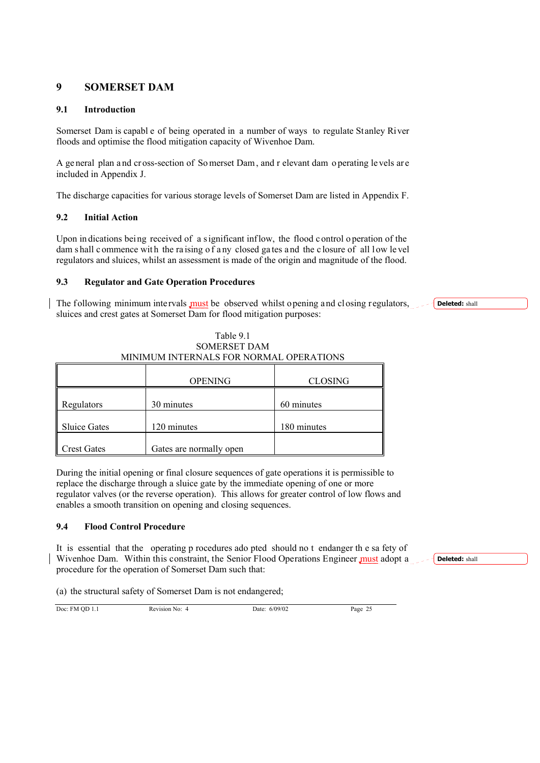## **9 SOMERSET DAM**

#### <span id="page-28-0"></span>**9.1 Introduction**

<span id="page-28-1"></span>Somerset Dam is capabl e of being operated in a number of ways to regulate Stanley River floods and optimise the flood mitigation capacity of Wivenhoe Dam.

A ge neral plan a nd cr oss-section of So merset Dam, and r elevant dam o perating le vels ar e included in Appendix J.

The discharge capacities for various storage levels of Somerset Dam are listed in Appendix F.

## **9.2 Initial Action**

<span id="page-28-2"></span>Upon in dications being received of a s ignificant inf low, the flood c ontrol o peration of the dam s hall c ommence with the raising of a ny closed gates and the closure of all low level regulators and sluices, whilst an assessment is made of the origin and magnitude of the flood.

Table 9.1

## **9.3 Regulator and Gate Operation Procedures**

The following minimum intervals **must** be observed whilst opening and closing regulators, sluices and crest gates at Somerset Dam for flood mitigation purposes:

<span id="page-28-3"></span>

| <b>SOMERSET DAM</b><br>MINIMUM INTERNALS FOR NORMAL OPERATIONS |                                  |             |  |  |  |
|----------------------------------------------------------------|----------------------------------|-------------|--|--|--|
|                                                                | <b>CLOSING</b><br><b>OPENING</b> |             |  |  |  |
| Regulators                                                     | 30 minutes                       | 60 minutes  |  |  |  |
| <b>Sluice Gates</b>                                            | 120 minutes                      | 180 minutes |  |  |  |
| <b>Crest Gates</b>                                             | Gates are normally open          |             |  |  |  |

During the initial opening or final closure sequences of gate operations it is permissible to replace the discharge through a sluice gate by the immediate opening of one or more regulator valves (or the reverse operation). This allows for greater control of low flows and enables a smooth transition on opening and closing sequences.

#### **9.4 Flood Control Procedure**

It is essential that the operating p rocedures ado pted should no t endanger th e sa fety of Wivenhoe Dam. Within this constraint, the Senior Flood Operations Engineer must adopt a procedure for the operation of Somerset Dam such that:

(a) the structural safety of Somerset Dam is not endangered;

<span id="page-28-4"></span>Doc: FM QD 1.1 Revision No: 4 Date: 6/09/02 Page 25

**Deleted:** shall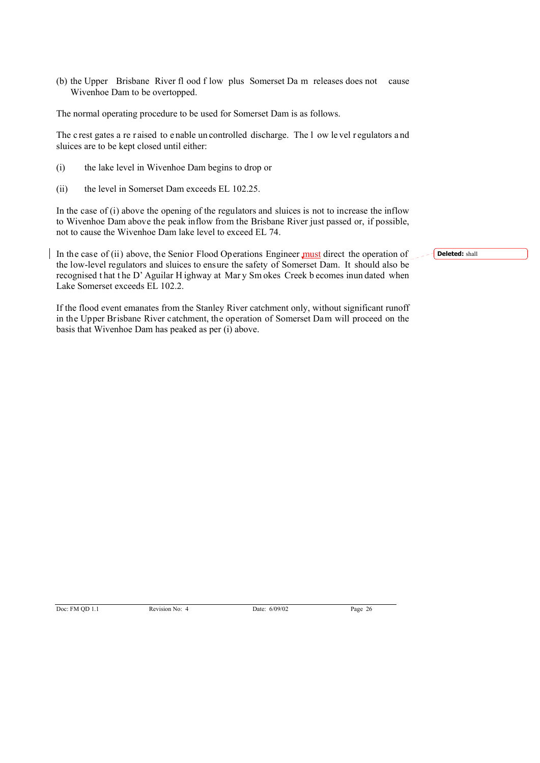(b) the Upper Brisbane River fl ood f low plus Somerset Da m releases does not cause Wivenhoe Dam to be overtopped.

The normal operating procedure to be used for Somerset Dam is as follows.

The c rest gates a re r aised to e nable un controlled discharge. The l ow le vel r egulators a nd sluices are to be kept closed until either:

- (i) the lake level in Wivenhoe Dam begins to drop or
- (ii) the level in Somerset Dam exceeds EL 102.25.

In the case of (i) above the opening of the regulators and sluices is not to increase the inflow to Wivenhoe Dam above the peak inflow from the Brisbane River just passed or, if possible, not to cause the Wivenhoe Dam lake level to exceed EL 74.

In the case of (ii) above, the Senior Flood Operations Engineer must direct the operation of the low-level regulators and sluices to ensure the safety of Somerset Dam. It should also be recognised t hat t he D' Aguilar H ighway at Mar y Sm okes Creek b ecomes inun dated when Lake Somerset exceeds EL 102.2.

If the flood event emanates from the Stanley River catchment only, without significant runoff in the Upper Brisbane River catchment, the operation of Somerset Dam will proceed on the basis that Wivenhoe Dam has peaked as per (i) above.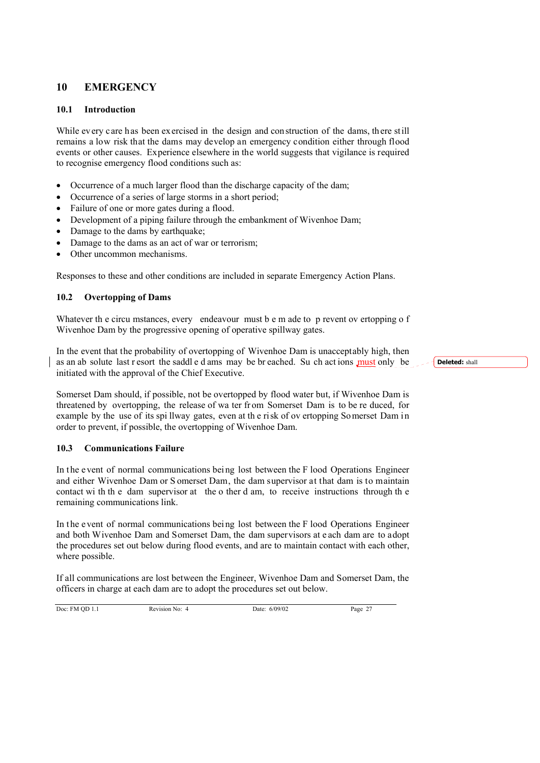## **10 EMERGENCY**

#### <span id="page-30-0"></span>**10.1 Introduction**

<span id="page-30-1"></span>While every care has been exercised in the design and construction of the dams, there still remains a low risk that the dams may develop an emergency condition either through flood events or other causes. Experience elsewhere in the world suggests that vigilance is required to recognise emergency flood conditions such as:

- Occurrence of a much larger flood than the discharge capacity of the dam;
- Occurrence of a series of large storms in a short period;
- Failure of one or more gates during a flood.
- Development of a piping failure through the embankment of Wivenhoe Dam;
- Damage to the dams by earthquake;
- Damage to the dams as an act of war or terrorism;
- Other uncommon mechanisms.

Responses to these and other conditions are included in separate Emergency Action Plans.

#### **10.2 Overtopping of Dams**

Whatever the circu mstances, every endeavour must be m ade to p revent ov ertopping o f Wivenhoe Dam by the progressive opening of operative spillway gates.

<span id="page-30-2"></span>In the event that the probability of overtopping of Wivenhoe Dam is unacceptably high, then as an ab solute last r esort the saddl e d ams may be br eached. Su ch act ions must only be initiated with the approval of the Chief Executive.

Somerset Dam should, if possible, not be overtopped by flood water but, if Wivenhoe Dam is threatened by overtopping, the release of wa ter fr om Somerset Dam is to be re duced, for example by the use of its spi llway gates, even at th e risk of ov ertopping Somerset Dam in order to prevent, if possible, the overtopping of Wivenhoe Dam.

#### **10.3 Communications Failure**

In the event of normal communications being lost between the F lood Operations Engineer and either Wivenhoe Dam or S omerset Dam, the dam supervisor at that dam is to maintain contact wi th th e dam supervisor at the o ther d am, to receive instructions through th e remaining communications link.

<span id="page-30-3"></span>In the event of normal communications being lost between the F lood Operations Engineer and both Wivenhoe Dam and Somerset Dam, the dam supervisors at e ach dam are to adopt the procedures set out below during flood events, and are to maintain contact with each other, where possible.

If all communications are lost between the Engineer, Wivenhoe Dam and Somerset Dam, the officers in charge at each dam are to adopt the procedures set out below.

Doc: FM QD 1.1 Revision No: 4 Date: 6/09/02 Page 27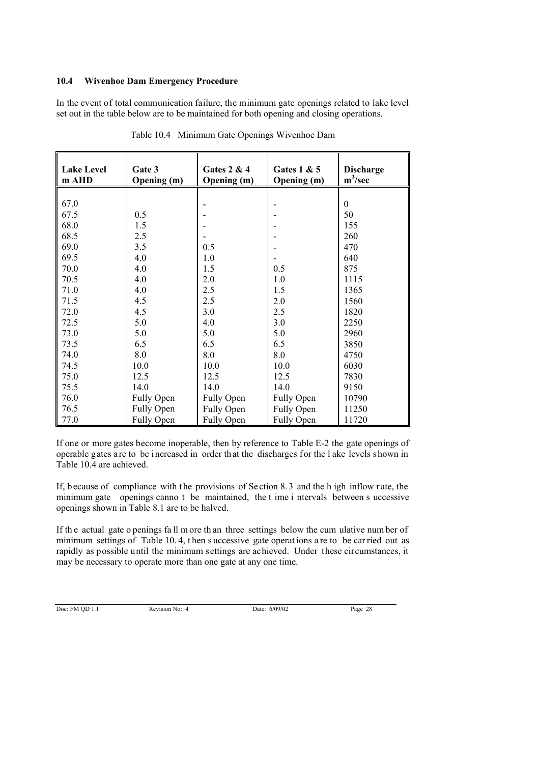#### **10.4 Wivenhoe Dam Emergency Procedure**

<span id="page-31-0"></span>In the event of total communication failure, the minimum gate openings related to lake level set out in the table below are to be maintained for both opening and closing operations.

| <b>Lake Level</b><br>m AHD | Gate 3<br><b>Opening</b> (m) | Gates $2 & 4$<br><b>Opening</b> (m) | Gates $1 & 5$<br><b>Opening</b> (m) | <b>Discharge</b><br>$m^3$ /sec |
|----------------------------|------------------------------|-------------------------------------|-------------------------------------|--------------------------------|
|                            |                              |                                     |                                     |                                |
| 67.0                       |                              |                                     |                                     | $\Omega$                       |
| 67.5                       | 0.5                          |                                     |                                     | 50                             |
| 68.0                       | 1.5                          |                                     |                                     | 155                            |
| 68.5                       | 2.5                          |                                     |                                     | 260                            |
| 69.0                       | 3.5                          | 0.5                                 |                                     | 470                            |
| 69.5                       | 4.0                          | 1.0                                 |                                     | 640                            |
| 70.0                       | 4.0                          | 1.5                                 | 0.5                                 | 875                            |
| 70.5                       | 4.0                          | 2.0                                 | 1.0                                 | 1115                           |
| 71.0                       | 4.0                          | 2.5                                 | 1.5                                 | 1365                           |
| 71.5                       | 4.5                          | 2.5                                 | 2.0                                 | 1560                           |
| 72.0                       | 4.5                          | 3.0                                 | 2.5                                 | 1820                           |
| 72.5                       | 5.0                          | 4.0                                 | 3.0                                 | 2250                           |
| 73.0                       | 5.0                          | 5.0                                 | 5.0                                 | 2960                           |
| 73.5                       | 6.5                          | 6.5                                 | 6.5                                 | 3850                           |
| 74.0                       | 8.0                          | 8.0                                 | 8.0                                 | 4750                           |
| 74.5                       | 10.0                         | 10.0                                | 10.0                                | 6030                           |
| 75.0                       | 12.5                         | 12.5                                | 12.5                                | 7830                           |
| 75.5                       | 14.0                         | 14.0                                | 14.0                                | 9150                           |
| 76.0                       | Fully Open                   | Fully Open                          | <b>Fully Open</b>                   | 10790                          |
| 76.5                       | Fully Open                   | Fully Open                          | Fully Open                          | 11250                          |
| 77.0                       | Fully Open                   | Fully Open                          | Fully Open                          | 11720                          |

Table 10.4 Minimum Gate Openings Wivenhoe Dam

If one or more gates become inoperable, then by reference to Table E-2 the gate openings of operable gates are to be increased in order that the discharges for the l ake levels shown in Table 10.4 are achieved.

If, b ecause of compliance with the provisions of Se ction 8.3 and the h igh inflow r ate, the minimum gate openings canno t be maintained, the t ime i ntervals between s uccessive openings shown in Table 8.1 are to be halved.

If th e actual gate o penings fa ll m ore th an three settings below the cum ulative num ber of minimum settings of Table 10. 4, t hen s uccessive gate operat ions a re to be car ried out as rapidly as possible until the minimum settings are achieved. Under these circumstances, it may be necessary to operate more than one gate at any one time.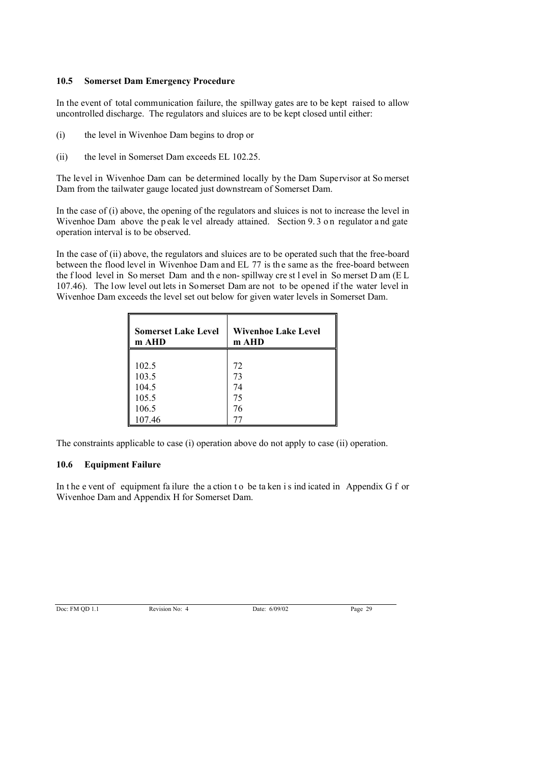#### **10.5 Somerset Dam Emergency Procedure**

<span id="page-32-0"></span>In the event of total communication failure, the spillway gates are to be kept raised to allow uncontrolled discharge. The regulators and sluices are to be kept closed until either:

- (i) the level in Wivenhoe Dam begins to drop or
- (ii) the level in Somerset Dam exceeds EL 102.25.

The level in Wivenhoe Dam can be determined locally by the Dam Supervisor at So merset Dam from the tailwater gauge located just downstream of Somerset Dam.

In the case of (i) above, the opening of the regulators and sluices is not to increase the level in Wivenhoe Dam above the peak level already attained. Section 9.3 on regulator and gate operation interval is to be observed.

In the case of (ii) above, the regulators and sluices are to be operated such that the free-board between the flood level in Wivenhoe Dam and EL 77 is the same as the free-board between the f lood level in So merset Dam and th e non- spillway cre st l evel in So merset D am (E L 107.46). The low level out lets in Somerset Dam are not to be opened if the water level in Wivenhoe Dam exceeds the level set out below for given water levels in Somerset Dam.

| <b>Somerset Lake Level</b><br>m AHD | <b>Wivenhoe Lake Level</b><br>m AHD |
|-------------------------------------|-------------------------------------|
|                                     |                                     |
| 102.5                               | 72                                  |
| 103.5                               | 73                                  |
| 104.5                               | 74                                  |
| 105.5                               | 75                                  |
| 106.5                               | 76                                  |
| 107.46                              |                                     |

The constraints applicable to case (i) operation above do not apply to case (ii) operation.

#### **10.6 Equipment Failure**

<span id="page-32-1"></span>In the e vent of equipment failure the a ction to be taken is indicated in Appendix G f or Wivenhoe Dam and Appendix H for Somerset Dam.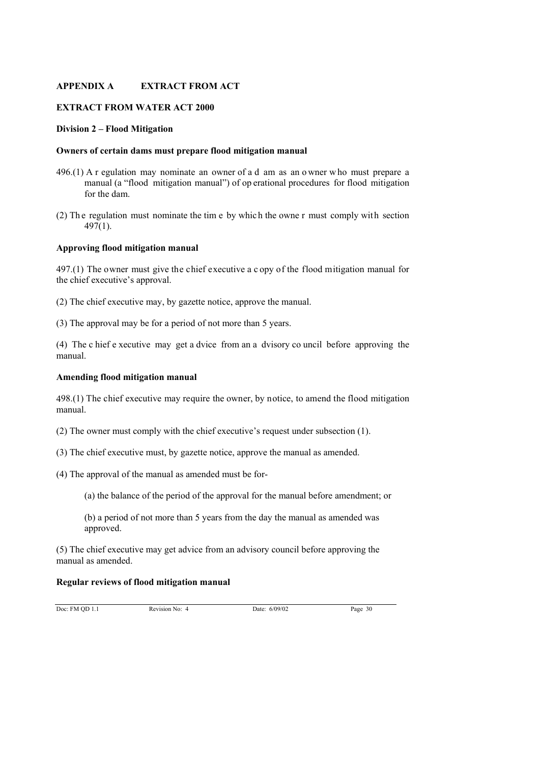### **APPENDIX A EXTRACT FROM ACT**

### <span id="page-33-0"></span>**EXTRACT FROM WATER ACT 2000**

#### **Division 2 – Flood Mitigation**

#### **Owners of certain dams must prepare flood mitigation manual**

- 496.(1) A r egulation may nominate an owner of a d am as an o wner w ho must prepare a manual (a "flood mitigation manual") of op erational procedures for flood mitigation for the dam.
- (2) Th e regulation must nominate the tim e by whic h the owne r must comply with section 497(1).

#### **Approving flood mitigation manual**

497.(1) The owner must give the chief executive a c opy of the flood mitigation manual for the chief executive's approval.

(2) The chief executive may, by gazette notice, approve the manual.

(3) The approval may be for a period of not more than 5 years.

(4) The c hief e xecutive may get a dvice from an a dvisory co uncil before approving the manual.

#### **Amending flood mitigation manual**

498.(1) The chief executive may require the owner, by notice, to amend the flood mitigation manual.

(2) The owner must comply with the chief executive's request under subsection (1).

- (3) The chief executive must, by gazette notice, approve the manual as amended.
- (4) The approval of the manual as amended must be for-

(a) the balance of the period of the approval for the manual before amendment; or

(b) a period of not more than 5 years from the day the manual as amended was approved.

(5) The chief executive may get advice from an advisory council before approving the manual as amended.

#### **Regular reviews of flood mitigation manual**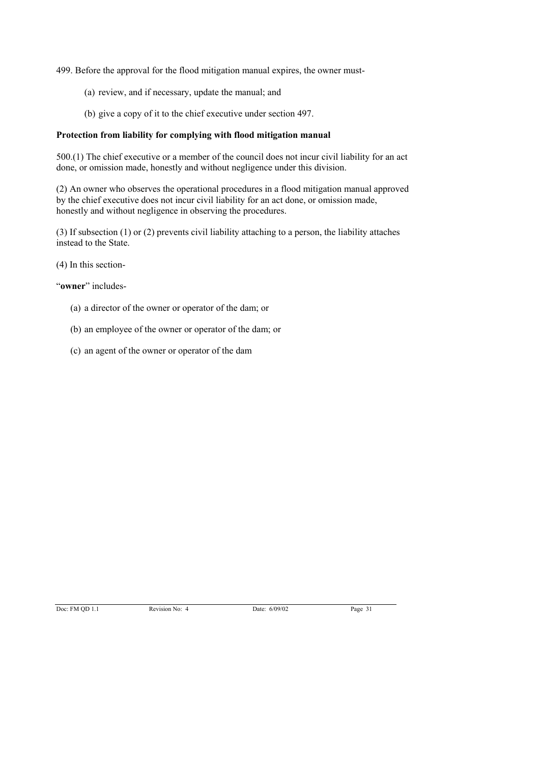499. Before the approval for the flood mitigation manual expires, the owner must-

- (a) review, and if necessary, update the manual; and
- (b) give a copy of it to the chief executive under section 497.

#### **Protection from liability for complying with flood mitigation manual**

500.(1) The chief executive or a member of the council does not incur civil liability for an act done, or omission made, honestly and without negligence under this division.

(2) An owner who observes the operational procedures in a flood mitigation manual approved by the chief executive does not incur civil liability for an act done, or omission made, honestly and without negligence in observing the procedures.

(3) If subsection (1) or (2) prevents civil liability attaching to a person, the liability attaches instead to the State.

(4) In this section-

"**owner**" includes-

- (a) a director of the owner or operator of the dam; or
- (b) an employee of the owner or operator of the dam; or
- (c) an agent of the owner or operator of the dam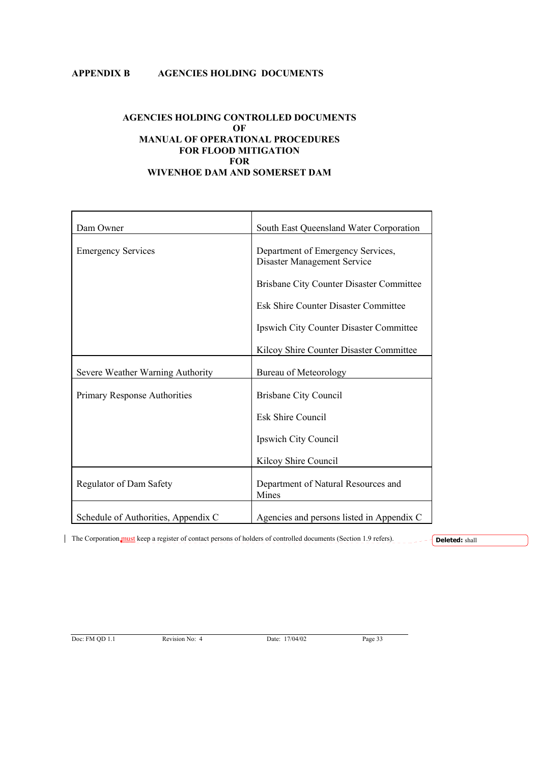#### <span id="page-36-0"></span>**APPENDIX B AGENCIES HOLDING DOCUMENTS**

## **AGENCIES HOLDING CONTROLLED DOCUMENTS OF MANUAL OF OPERATIONAL PROCEDURES FOR FLOOD MITIGATION FOR WIVENHOE DAM AND SOMERSET DAM**

| Dam Owner                           | South East Queensland Water Corporation                                 |
|-------------------------------------|-------------------------------------------------------------------------|
| <b>Emergency Services</b>           | Department of Emergency Services,<br><b>Disaster Management Service</b> |
|                                     | <b>Brisbane City Counter Disaster Committee</b>                         |
|                                     | Esk Shire Counter Disaster Committee                                    |
|                                     | <b>Ipswich City Counter Disaster Committee</b>                          |
|                                     | Kilcoy Shire Counter Disaster Committee                                 |
| Severe Weather Warning Authority    | <b>Bureau of Meteorology</b>                                            |
| Primary Response Authorities        | <b>Brisbane City Council</b>                                            |
|                                     | Esk Shire Council                                                       |
|                                     | Ipswich City Council                                                    |
|                                     | Kilcoy Shire Council                                                    |
| Regulator of Dam Safety             | Department of Natural Resources and<br>Mines                            |
| Schedule of Authorities, Appendix C | Agencies and persons listed in Appendix C                               |

The Corporation must keep a register of contact persons of holders of controlled documents (Section 1.9 refers).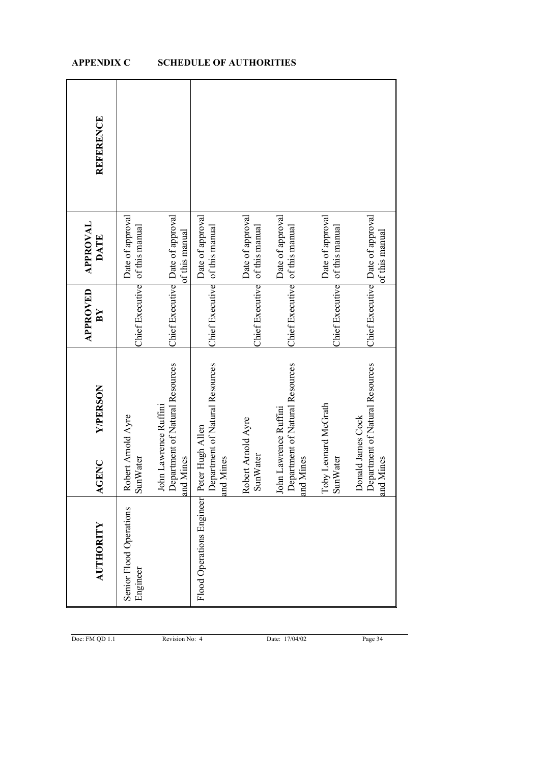<span id="page-37-0"></span>

| <b>AUTHORITY</b>                    | <b>YPERSON</b><br>GENC<br>₹                                           | <b>APPROVED</b><br>$\mathbf{N}$ | <b>APPROVAL</b><br><b>DATE</b>                     | <b>REFERENCE</b> |
|-------------------------------------|-----------------------------------------------------------------------|---------------------------------|----------------------------------------------------|------------------|
| Senior Flood Operations<br>Engineer | Robert Arnold Ayre<br><b>SunWater</b>                                 | Chief Executive of this manual  | Date of approval                                   |                  |
|                                     | John Lawrence Ruffini<br>Department of Natural Resources<br>and Mines |                                 | Chief Executive Date of approval<br>of this manual |                  |
| Flood Operations Engineer           | Department of Natural Resources<br>Peter Hugh Allen<br>and Mines      | Chief Executive of this manual  | Date of approval                                   |                  |
|                                     | Robert Arnold Ayre<br><b>SunWater</b>                                 | Chief Executive of this manual  | Date of approval                                   |                  |
|                                     | Department of Natural Resources<br>John Lawrence Ruffini<br>and Mines | Chief Executive of this manual  | Date of approval                                   |                  |
|                                     | Toby Leonard McGrath<br>SunWater                                      | Chief Executive of this manual  | Date of approval                                   |                  |
|                                     | Department of Natural Resources<br>Donald James Cock<br>and Mines     |                                 | Chief Executive Date of approval<br>of this manual |                  |

## **APPENDIX C SCHEDULE OF AUTHORITIES**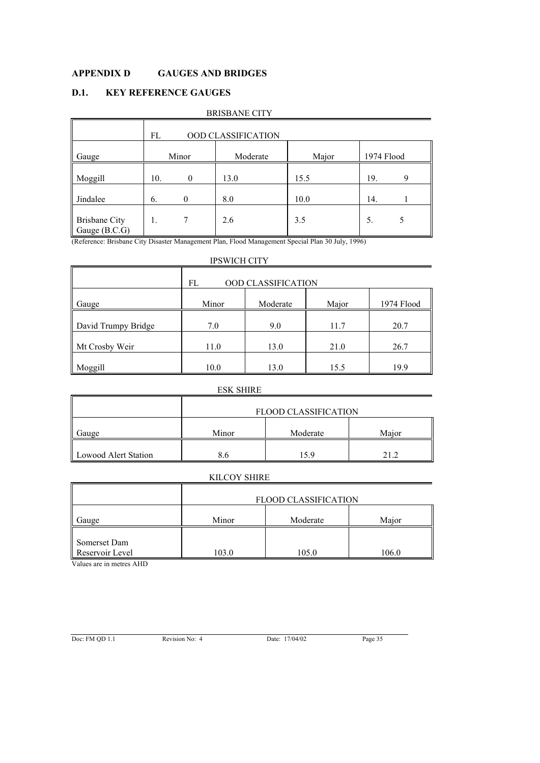## <span id="page-38-0"></span>**APPENDIX D GAUGES AND BRIDGES**

#### **D.1. KEY REFERENCE GAUGES**

<span id="page-38-1"></span>

| <b>BRISBANE CITY</b>                  |     |          |                           |       |            |   |
|---------------------------------------|-----|----------|---------------------------|-------|------------|---|
|                                       | FL  |          | <b>OOD CLASSIFICATION</b> |       |            |   |
| Gauge                                 |     | Minor    | Moderate                  | Major | 1974 Flood |   |
| Moggill                               | 10. | $\theta$ | 13.0                      | 15.5  | 19.        | 9 |
| Jindalee                              | 6.  | $\Omega$ | 8.0                       | 10.0  | 14.        |   |
| <b>Brisbane City</b><br>Gauge (B.C.G) | 1.  | 7        | 2.6                       | 3.5   | 5.         | 5 |

(Reference: Brisbane City Disaster Management Plan, Flood Management Special Plan 30 July, 1996)

| <b>IPSWICH CITY</b> |                                 |          |       |            |  |
|---------------------|---------------------------------|----------|-------|------------|--|
|                     | FL<br><b>OOD CLASSIFICATION</b> |          |       |            |  |
| Gauge               | Minor                           | Moderate | Major | 1974 Flood |  |
| David Trumpy Bridge | 7.0                             | 9.0      | 11.7  | 20.7       |  |
| Mt Crosby Weir      | 11.0                            | 13.0     | 21.0  | 26.7       |  |
| Moggill             | 10.0                            | 13.0     | 15.5  | 19.9       |  |

#### ESK SHIRE

|                      | <b>FLOOD CLASSIFICATION</b> |          |       |  |  |  |
|----------------------|-----------------------------|----------|-------|--|--|--|
| Gauge                | Minor                       | Moderate | Maior |  |  |  |
| Lowood Alert Station | $\epsilon$                  | 5 Q      | 212   |  |  |  |

#### KILCOY SHIRE

|                 | <b>FLOOD CLASSIFICATION</b> |          |       |  |  |
|-----------------|-----------------------------|----------|-------|--|--|
| Gauge           | Minor                       | Moderate | Maior |  |  |
| Somerset Dam    |                             |          |       |  |  |
| Reservoir Level | 103.0                       | 105.0    | 106.0 |  |  |

Values are in metres AHD

'n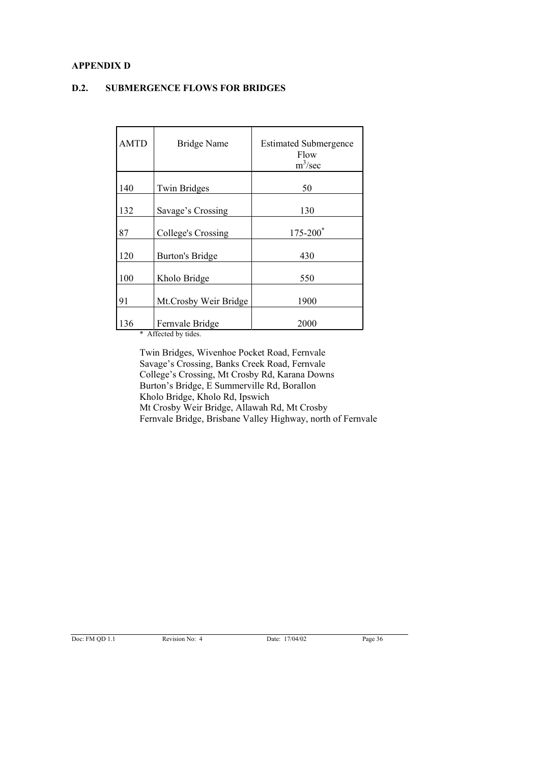## **APPENDIX D**

## <span id="page-39-0"></span>**D.2. SUBMERGENCE FLOWS FOR BRIDGES**

| <b>AMTD</b> | <b>Bridge Name</b>          | <b>Estimated Submergence</b><br>Flow<br>$m^3/sec$ |
|-------------|-----------------------------|---------------------------------------------------|
| 140         | <b>Twin Bridges</b>         | 50                                                |
| 132         | Savage's Crossing           | 130                                               |
| 87          | College's Crossing          | $175 - 200^*$                                     |
| 120         | <b>Burton's Bridge</b>      | 430                                               |
| 100         | Kholo Bridge                | 550                                               |
| 91          | Mt.Crosby Weir Bridge       | 1900                                              |
| 136         | Fernvale Bridge<br>0.001334 | 2000                                              |

\* Affected by tides.

Twin Bridges, Wivenhoe Pocket Road, Fernvale Savage's Crossing, Banks Creek Road, Fernvale College's Crossing, Mt Crosby Rd, Karana Downs Burton's Bridge, E Summerville Rd, Borallon Kholo Bridge, Kholo Rd, Ipswich Mt Crosby Weir Bridge, Allawah Rd, Mt Crosby Fernvale Bridge, Brisbane Valley Highway, north of Fernvale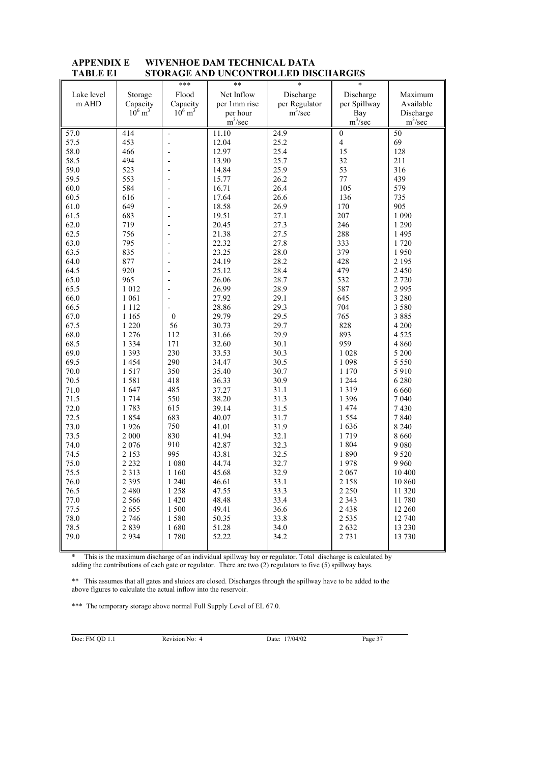#### **APPENDIX E WIVENHOE DAM TECHNICAL DATA TABLE E1 STORAGE AND UNCONTROLLED DISCHARGES**

<span id="page-40-1"></span><span id="page-40-0"></span>

|              |                    | ***                | **             |               |                 |                 |
|--------------|--------------------|--------------------|----------------|---------------|-----------------|-----------------|
| Lake level   | Storage            | Flood              | Net Inflow     | Discharge     | Discharge       | Maximum         |
| m AHD        | Capacity           | Capacity           | per 1mm rise   | per Regulator | per Spillway    | Available       |
|              | $10^6 \text{ m}^3$ | $10^6 \text{ m}^3$ | per hour       | $m^3$ /sec    | Bay             | Discharge       |
|              |                    |                    | $m^3/sec$      |               | $m^3/sec$       | $m^3/sec$       |
| 57.0         | 414                | $\overline{a}$     | 11.10          | 24.9          | $\mathbf{0}$    | 50              |
| 57.5         | 453                | $\overline{a}$     | 12.04          | 25.2          | $\overline{4}$  | 69              |
| 58.0         | 466                | $\overline{a}$     | 12.97          | 25.4          | 15              | 128             |
| 58.5         | 494                |                    | 13.90          | 25.7          | 32              | 211             |
| 59.0         | 523                |                    | 14.84          | 25.9          | 53              | 316             |
| 59.5         | 553                |                    | 15.77          | 26.2          | 77              | 439             |
| 60.0         | 584                |                    | 16.71          | 26.4          | 105             | 579             |
| 60.5         | 616                |                    | 17.64          | 26.6          | 136             | 735             |
| 61.0         | 649                | $\overline{a}$     | 18.58          | 26.9          | 170             | 905             |
| 61.5         | 683                |                    | 19.51          | 27.1          | 207             | 1 0 9 0         |
| 62.0         | 719                |                    | 20.45          | 27.3          | 246             | 1 2 9 0         |
| 62.5         | 756                |                    | 21.38          | 27.5          | 288             | 1495            |
| 63.0         | 795                |                    | 22.32          | 27.8          | 333             | 1720            |
| 63.5         | 835                |                    | 23.25          | 28.0          | 379             | 1950            |
| 64.0         | 877                |                    | 24.19          | 28.2          | 428             | 2 1 9 5         |
| 64.5         | 920                |                    | 25.12          | 28.4          | 479             | 2 4 5 0         |
| 65.0         | 965                |                    | 26.06          | 28.7          | 532             | 2 7 2 0         |
| 65.5         | 1012               |                    | 26.99          | 28.9          | 587             | 2995            |
| 66.0         | 1 0 6 1            |                    | 27.92          | 29.1          | 645             | 3 2 8 0         |
| 66.5         | 1 1 1 2            |                    | 28.86          | 29.3          | 704             | 3 5 8 0         |
| 67.0         | 1 1 6 5            | $\boldsymbol{0}$   | 29.79          | 29.5          | 765             | 3885            |
| 67.5         | 1 2 2 0            | 56                 | 30.73          | 29.7          | 828             | 4 200           |
| 68.0         | 1 2 7 6            | 112                | 31.66          | 29.9          | 893             | 4 5 2 5         |
| 68.5         | 1 3 3 4            | 171                | 32.60          | 30.1          | 959             | 4 8 6 0         |
| 69.0         | 1 3 9 3            | 230                | 33.53          | 30.3          | 1028            | 5 200           |
| 69.5         | 1454               | 290                | 34.47          | 30.5          | 1 0 9 8         | 5 5 5 0         |
| 70.0         | 1517               | 350                | 35.40          | 30.7          | 1 1 7 0         | 5910            |
| 70.5         | 1581               | 418                | 36.33          | 30.9          | 1 2 4 4         | 6 2 8 0         |
| 71.0         | 1647               | 485                | 37.27          | 31.1<br>31.3  | 1319            | 6 6 6 0         |
| 71.5         | 1714               | 550<br>615         | 38.20<br>39.14 | 31.5          | 1 3 9 6<br>1474 | 7 0 4 0<br>7430 |
| 72.0<br>72.5 | 1783<br>1854       | 683                | 40.07          | 31.7          | 1554            | 7840            |
| 73.0         | 1926               | 750                | 41.01          | 31.9          | 1636            | 8 2 4 0         |
| 73.5         | 2 000              | 830                | 41.94          | 32.1          | 1719            | 8 6 6 0         |
| 74.0         | 2076               | 910                | 42.87          | 32.3          | 1804            | 9 0 8 0         |
| 74.5         | 2 1 5 3            | 995                | 43.81          | 32.5          | 1890            | 9 5 20          |
| 75.0         | 2 2 3 2            | 1 0 8 0            | 44.74          | 32.7          | 1978            | 9 9 6 0         |
| 75.5         | 2 3 1 3            | 1 1 6 0            | 45.68          | 32.9          | 2067            | 10 400          |
| 76.0         | 2 3 9 5            | 1 240              | 46.61          | 33.1          | 2 1 5 8         | 10 860          |
| 76.5         | 2 4 8 0            | 1 2 5 8            | 47.55          | 33.3          | 2 2 5 0         | 11 320          |
| 77.0         | 2 5 6 6            | 1 4 2 0            | 48.48          | 33.4          | 2 3 4 3         | 11780           |
| 77.5         | 2655               | 1 500              | 49.41          | 36.6          | 2 4 3 8         | 12 260          |
| 78.0         | 2 7 4 6            | 1580               | 50.35          | 33.8          | 2 5 3 5         | 12 740          |
| 78.5         | 2839               | 1680               | 51.28          | 34.0          | 2632            | 13 230          |
| 79.0         | 2934               | 1780               | 52.22          | 34.2          | 2731            | 13 730          |
|              |                    |                    |                |               |                 |                 |

\* This is the maximum discharge of an individual spillway bay or regulator. Total discharge is calculated by adding the contributions of each gate or regulator. There are two (2) regulators to five (5) spillway bays.

\*\* This assumes that all gates and sluices are closed. Discharges through the spillway have to be added to the above figures to calculate the actual inflow into the reservoir.

\*\*\* The temporary storage above normal Full Supply Level of EL 67.0.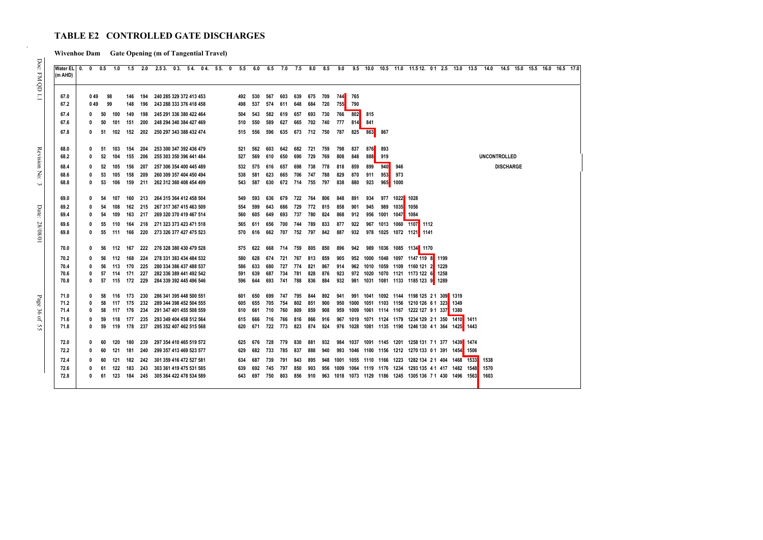#### **TABLE E2 CONTROLLED GATE DISCHARGES**

**Wivenhoe Dam Gate Opening (m of Tangential Travel)** 

<span id="page-41-0"></span>

| 67.0<br>67.2<br>67.4 | 049               |          |            |            |            |                                                    |  |  |            |            |            |            |            | 0.5 1.0 1.5 2.0 2.53 03 54 04 55 0 5.5 6.0 6.5 7.0 7.5 8.0 8.5 |            |            |          |           |                |                    |                                                                 |  |           |                     |                  |  |  |
|----------------------|-------------------|----------|------------|------------|------------|----------------------------------------------------|--|--|------------|------------|------------|------------|------------|----------------------------------------------------------------|------------|------------|----------|-----------|----------------|--------------------|-----------------------------------------------------------------|--|-----------|---------------------|------------------|--|--|
|                      |                   |          | 98         | 146        | 194        | 240 285 329 372 413 453                            |  |  | 492        | 530        | 567        | 603        | 639        | 675                                                            | 709        | 744        | 765      |           |                |                    |                                                                 |  |           |                     |                  |  |  |
|                      | 049               |          | 99         | 148        | 196        | 243 288 333 376 418 458                            |  |  | 498        | 537        | 574        | 611        | 648        | 684                                                            | 720        | 755        | 790      |           |                |                    |                                                                 |  |           |                     |                  |  |  |
|                      | 0                 | 50       | 100        | 149        | 198        | 245 291 336 380 422 464                            |  |  | 504        | 543        | 582        | 619        | 657        | 693                                                            | 730        | 766        | 802      | 815       |                |                    |                                                                 |  |           |                     |                  |  |  |
| 67.6                 | 0                 | 50       | 101        | 151        | 200        | 248 294 340 384 427 469                            |  |  | 510        | 550        | 589        | 627        | 665        |                                                                | 702 740    | 777        | 814      | 841       |                |                    |                                                                 |  |           |                     |                  |  |  |
| 67.8                 | 0                 | -51      | 102        | 152        | 202        | 250 297 343 388 432 474                            |  |  | 515        | 556        | 596        | 635        | 673        | 712 750                                                        |            | 787        | 825      | 863       | 867            |                    |                                                                 |  |           |                     |                  |  |  |
| 68.0                 | $\mathbf{0}$      | 51       | 103        | 154        | 204        | 253 300 347 392 436 479                            |  |  | 521        | 562        | 603        | 642        | 682        | 721                                                            | 759        | 798        | 837      | 876       | 893            |                    |                                                                 |  |           |                     |                  |  |  |
| 68.2                 |                   | 52       | 104        | 155        | 206        | 255 303 350 396 441 484                            |  |  | 527        | 569        | 610        | 650        | 690        | 729                                                            | 769        | 808        | 848      | 888       | 919            |                    |                                                                 |  |           | <b>UNCONTROLLED</b> |                  |  |  |
| 68.4                 |                   | 52       | 105        | 156        | 207        | 257 306 354 400 445 489                            |  |  | 532        | 575        | 616        | 657        | 698        | 738                                                            | 778        | 818        | 859      | 899       | 940            | 946                |                                                                 |  |           |                     | <b>DISCHARGE</b> |  |  |
| 68.6                 |                   | 53       | 105        | 158        | 209        | 260 309 357 404 450 494                            |  |  | 538        | 581        | 623        | 665        | 706        | 747                                                            | 788        | 829        | 870      | 911       | 953            | 973                |                                                                 |  |           |                     |                  |  |  |
| 68.8                 | 0                 | 53       | 106        | 159        | 211        | 262 312 360 408 454 499                            |  |  | 543        | 587        | 630        | 672        | 714        | 755                                                            | 797        | 838        | 880      | 923       |                | 965 1000           |                                                                 |  |           |                     |                  |  |  |
| 69.0                 | $\mathbf{0}$      | 54       | 107        | 160        | 213        | 264 315 364 412 458 504                            |  |  | 549        | 593        | 636        | 679        | 722        | 764                                                            | 806        | 848        | 891      | 934       |                | 977 1022 1028      |                                                                 |  |           |                     |                  |  |  |
| 69.2                 | n                 | 54       | 108        | 162        | 215        | 267 317 367 415 463 509                            |  |  | 554        | 599        | 643        | 686        | 729        | 772                                                            | 815        | 858        | 901      | 945       | 989            | 1035               | 1056                                                            |  |           |                     |                  |  |  |
| 69.4                 |                   | 54       | 109        | 163        | 217        | 269 320 370 419 467 514                            |  |  | 560        | 605        | 649        | 693        | 737        | 780                                                            | 824        | 868        | 912      | 956       | 1001           | 1047 <b>1</b> 1084 |                                                                 |  |           |                     |                  |  |  |
| 69.6                 |                   | 55       | 110        | 164        | 218        | 271 323 373 423 471 518                            |  |  | 565        | 611        | 656        | 700        | 744        | 789                                                            | 833        | 877        | 922      | 967       | 1013           |                    | 1060 1107 1112                                                  |  |           |                     |                  |  |  |
| 69.8                 |                   | 55       | 111        | 166        | 220        | 273 326 377 427 475 523                            |  |  | 570        | 616        | 662        | 707        | 752        |                                                                | 797 842    | 887        | 932      | 978       | 1025           |                    | 1072 1121 1141                                                  |  |           |                     |                  |  |  |
| 70.0                 | n                 | 56       | 112        | 167        |            | 222 276 328 380 430 479 528                        |  |  | 575        | 622        | 668        | 714        | 759        | 805                                                            | 850        | 896        | 942      | 989       | 1036           |                    | 1085 1134 1170                                                  |  |           |                     |                  |  |  |
| 70.2                 | n                 | 56       | 112        | 168        | 224        | 278 331 383 434 484 532                            |  |  | 580        | 628        | 674        | 721        | 767        | 813                                                            | 859        | 905        | 952      | 1000      | 1048           |                    | 1097 1147 119 8 1199                                            |  |           |                     |                  |  |  |
| 70.4                 |                   | 56       | 113        | 170        | 225        | 280 334 386 437 488 537                            |  |  | 586        | 633        | 680        | 727        | 774        | 821                                                            | 867        | 914        | 962      | 1010      | 1059           |                    | 1109 1160 121 2 <sup>1</sup> 1229                               |  |           |                     |                  |  |  |
| 70.6<br>70.8         | $\mathbf{0}$<br>0 | 57<br>57 | 114<br>115 | 171<br>172 | 227<br>229 | 282 336 389 441 492 542<br>284 339 392 445 496 546 |  |  | 591<br>596 | 639<br>644 | 687<br>693 | 734<br>741 | 781<br>788 | 828<br>836                                                     | 876<br>884 | 923<br>932 |          | 972 1020  |                |                    | 1070 1121 1173 122 6 1258<br>981 1031 1081 1133 1185 123 9 1289 |  |           |                     |                  |  |  |
|                      |                   |          |            |            |            |                                                    |  |  |            |            |            |            |            |                                                                |            |            |          |           |                |                    |                                                                 |  |           |                     |                  |  |  |
| 71.0                 |                   | 58       | 116        | 173        | 230        | 286 341 395 448 500 551                            |  |  | 601        | 650        | 699        | 747        | 795        | 844                                                            | 892        | 941        | 991      | 1041      |                |                    | 1092 1144 1198 125 21 309 1319                                  |  |           |                     |                  |  |  |
| 71.2                 | $\mathbf{0}$      | 58       | 117        | 175        | 232        | 289 344 398 452 504 555                            |  |  | 605        | 655        | 705        | 754        | 802        | 851                                                            | 900        | 950        | 1000     | 1051      | 1103           |                    | 1156 1210 126 6 1 323 1349                                      |  |           |                     |                  |  |  |
| 71.4                 |                   | 58       | 117        | 176        | 234        | 291 347 401 455 508 559                            |  |  | 610        | 661        | 710        | 760        | 809        | 859                                                            | 908        | 959        | 1009     |           |                |                    | 1061 1114 1167 1222 127 91 337 <mark>1</mark> 1380              |  |           |                     |                  |  |  |
| 71.6                 |                   | 59       | 118        | 177        | 235        | 293 349 404 458 512 564                            |  |  | 615        | 666        | 716        | 766        | 816        | 866                                                            | 916        |            | 967 1019 |           | 1071 1124 1179 |                    | 1234 129 2 1 350 1410 1411                                      |  |           |                     |                  |  |  |
| 71.8                 | 0                 | 59       | 119        | 178        | 237        | 295 352 407 462 515 568                            |  |  | 620        | 671        | 722        | 773        | 823        | 874                                                            | 924        |            |          |           |                |                    | 976 1028 1081 1135 1190 1246 130 41 364 1425 1443               |  |           |                     |                  |  |  |
| 72.0                 | $\mathbf{0}$      | 60       | 120        | 180        | 239        | 297 354 410 465 519 572                            |  |  | 625        | 676        | 728        | 779        | 830        | 881                                                            | 932        | 984        | 1037     |           | 1091 1145 1201 |                    | 1258 131 7 1 377 1439 1474                                      |  |           |                     |                  |  |  |
| 72.2                 | 0                 | 60       | 121        | 181        | 240        | 299 357 413 469 523 577                            |  |  | 629        | 682        | 733        | 785        | 837        | 888                                                            | 940        | 993        |          |           |                |                    | 1046 1100 1156 1212 1270 133 01 391 1454 <mark>1</mark> 1506    |  |           |                     |                  |  |  |
| 72.4                 |                   | 60       | 121        | 182        | 242        | 301 359 416 472 527 581                            |  |  | 634        | 687        | 739        | 791        | 843        | 895                                                            | 948        | 1001       | 1055     | 1110 1166 |                | 1223               | 1282 134 2 1 404 1468                                           |  | 1533      | 1538                |                  |  |  |
| 72.6                 |                   | 61       | 122        | 183        | 243        | 303 361 419 475 531 585                            |  |  | 639        | 692        | 745        | 797        | 850        | 903                                                            | 956        | 1009       | 1064     | 1119      | 1176           | 1234               | 1293 135 41 417                                                 |  | 1482 1548 | 1570                |                  |  |  |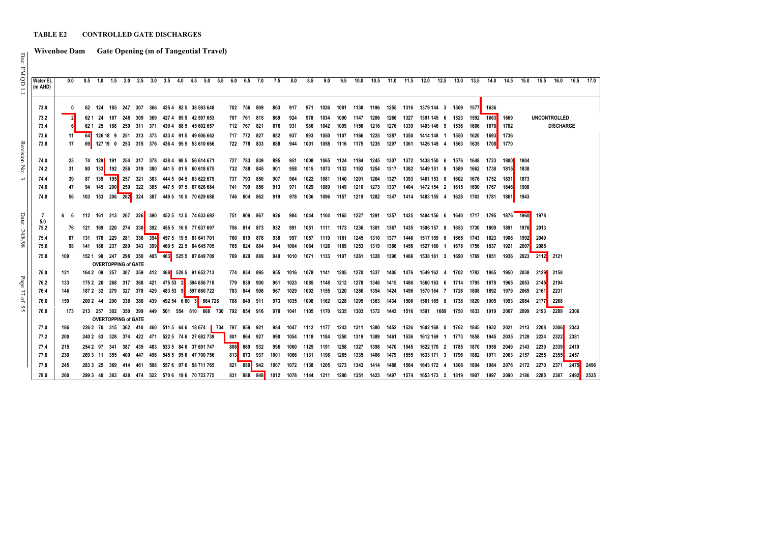**Wivenhoe Dam Gate Opening (m of Tangential Travel)**<br>  $\begin{bmatrix} \n\varphi \\ \n\varphi \n\end{bmatrix}$ 

| Doc:               |                            |              |     |              |     |                            |                             |     |  |                                                |     |             |         |      |      |      |                          |           |           |      |      |      |                 |   |      |      |               |                |       |                   |                     |             |           |
|--------------------|----------------------------|--------------|-----|--------------|-----|----------------------------|-----------------------------|-----|--|------------------------------------------------|-----|-------------|---------|------|------|------|--------------------------|-----------|-----------|------|------|------|-----------------|---|------|------|---------------|----------------|-------|-------------------|---------------------|-------------|-----------|
| FM QD<br>$\Xi$     | <b>Water EL</b><br>(m AHD) | 0.0          |     |              |     |                            | 0.5 1.0 1.5 2.0 2.5 3.0 3.5 |     |  | 4.0 4.5 5.0 5.5 6.0 6.5 7.0                    |     |             |         | 7.5  | 8.0  | 8.5  | 9.0                      | 9.5       | 10.0      | 10.5 |      |      |                 |   |      | 13.5 |               | 14.0 14.5 15.0 |       | 15.5              | 16.0                |             | 16.5 17.0 |
|                    | 73.0                       |              |     | 62 124       | 185 | 247                        | 307                         | 366 |  | 425 4 82 5 38 593 648                          |     | 702 756 809 |         | 863  | 917  | 971  | 1026                     | 1081      | 1138      | 1196 | 1255 | 1316 | 1379 144 3      |   | 1509 | 1577 | 1636          |                |       |                   |                     |             |           |
|                    | 73.2                       | $\mathbf{2}$ |     | 62 1 24 187  |     | 248                        | 309                         | 369 |  | 427 4 85 5 42 597 653                          | 707 | 761 815     |         | 869  | 924  | 978  | 1034                     | 1090      | 1147      | 1206 | 1266 | 1327 | 1391 145 6      |   | 1523 | 1592 | 1663          | 1669           |       |                   | <b>UNCONTROLLED</b> |             |           |
|                    | 73.4                       |              |     |              |     |                            |                             |     |  | 62 1 25 188 250 311 371 430 4 88 5 45 602 657  | 712 | 767 821     |         | 876  | 931  | 986  | 1042                     | 1099      | 1156      | 1216 | 1276 | 1339 | 1403 146 9      |   | 1536 | 1606 | 1678 <b>1</b> | 1702           |       |                   | <b>DISCHARGE</b>    |             |           |
|                    | 73.6                       | 11           | 64  |              |     |                            |                             |     |  | 126 18 9 251 313 373 433 4 91 5 49 606 662     | 717 | 772 827     |         | 882  | 937  | 993  | 1050                     | 1107      | 1166      | 1225 | 1287 | 1350 | 1414 148 1      |   | 1550 | 1620 | 1693          | 1736           |       |                   |                     |             |           |
| Revision           | 73.8                       | 17           | 69  |              |     |                            |                             |     |  | 127 19 0 253 315 376 436 4 95 5 53 610 666     | 722 | 778 833     |         | 888  | 944  | 1001 | 1058                     | 1116      | 1175      | 1235 | 1297 | 1361 | 1426 149 4      |   | 1563 | 1635 | 1708 1770     |                |       |                   |                     |             |           |
|                    | 74.0                       | 23           | 74  | 129          | 191 |                            |                             |     |  | 254 317 378 4384 985 56614671                  | 727 | 783         | 839     | 895  | 951  | 1008 | 1065                     | 1124      | 1184      | 1245 | 1307 | 1372 | 1438 150 6      |   | 1576 | 1648 | 1723          | <b>1800</b>    | 1804  |                   |                     |             |           |
| No:                | 74.2                       | 31           | 80  | 133          |     | 192 256 319                |                             | 380 |  | 4415 015 60 618 675                            | 732 |             | 788 845 | 901  | 958  | 1015 | 1073                     |           | 1132 1192 | 1254 | 1317 | 1382 | 1449 151 8      |   | 1589 | 1662 | 1738          | <b>1815</b>    | 1838  |                   |                     |             |           |
| $\tilde{\epsilon}$ | 74.4                       | 39           | 87  | 139          | 195 | 257                        | 321                         | 383 |  | 444 5 04 5 63 622 679                          | 737 |             | 793 850 | 907  | 964  | 1022 | 1081                     | 1140      | 1201      | 1264 | 1327 | 1393 | 1461 153 0      |   | 1602 | 1676 | 1752          | 1831           | 1873  |                   |                     |             |           |
|                    | 74.6                       | 47           | 94  | 145          |     | 200 259 322                |                             | 385 |  | 447 5 07 5 67 626 684                          | 741 |             | 799 856 | 913  | 971  | 1029 | 1089                     | 1149      | 1210      | 1273 | 1337 | 1404 | 1472 154 2      |   | 1615 | 1690 | 1767          | <b>1846</b>    | 1908  |                   |                     |             |           |
|                    | 74.8                       | 56           | 103 |              |     | 153 206 262 324            |                             | 387 |  | 449 5 10 5 70 629 688                          | 746 |             | 804 862 | 919  | 978  | 1036 | 1096                     |           | 1157 1219 | 1282 | 1347 | 1414 | 1483 155 4 1628 |   |      | 1703 | 1781          | 1861           | 1943  |                   |                     |             |           |
| Date:              | $\overline{7}$             | 66           | 112 |              |     |                            |                             |     |  | 161 213 267 326 390 452 5 13 5 74 633 692      | 751 | 809         | 867     | 926  | 984  | 1044 | 1104                     | 1165      | 1227      | 1291 | 1357 | 1425 | 1494 156 6      |   | 1640 | 1717 | 1795          | 1876           | 1960  | 1978              |                     |             |           |
|                    | 5.0<br>75.2                | 76           | 121 | 169          |     |                            |                             |     |  | 220 274 330 392 455 5 16 5 77 637 697          | 756 | 814         | 873     | 932  | 991  | 1051 | 1111                     | 1173      | 1236      | 1301 | 1367 | 1435 | 1506 157 8      |   | 1653 | 1730 | 1809          | 1891           | 1976l | 2013              |                     |             |           |
| 24/8/98            | 75.4                       | 87           | 131 | 178 229      |     | 281                        | 336                         | 394 |  | 457 5 19 5 81 641 701                          | 760 |             | 819 878 | 938  | 997  | 1057 | 1119                     | 1181      | 1245      | 1310 | 1377 | 1446 | 1517 159        | 0 | 1665 | 1743 | 1823          | 1906           | 1992  | 2049              |                     |             |           |
|                    | 75.6                       | 98           | 141 |              |     | 188 237 289 343            |                             |     |  | 399 <mark>6</mark> 460522584645705             | 765 |             | 824 884 | 944  | 1004 | 1064 | 1126                     | 1189      | 1253      | 1319 | 1386 | 1456 | 1527 160 1      |   | 1678 | 1756 | 1837          | 1921           | 2007  | 2085              |                     |             |           |
|                    | 75.8                       | 109          |     |              |     | 152 1 98 247 298 350       |                             |     |  | 405 463 525 5 87 649 709                       | 769 | 829         | 889     | 949  | 1010 |      | 1071 1133 1197 1261 1328 |           |           |      | 1396 | 1466 | 1538 161 3 1690 |   |      | 1769 | 1851          | 1936           | 2023  | 2112 <b>22121</b> |                     |             |           |
|                    |                            |              |     |              |     | <b>OVERTOPPING of GATE</b> |                             |     |  |                                                |     |             |         |      |      |      |                          |           |           |      |      |      |                 |   |      |      |               |                |       |                   |                     |             |           |
|                    | 76.0                       | 121          |     |              |     | 164 2 09 257 307 359       |                             |     |  | 412 468 5285 91 652 713                        | 774 | 834         | 895     | 955  | 1016 | 1078 | 1141                     | 1205      | 1270      | 1337 | 1405 | 1476 | 1549 162 4 1702 |   |      | 1782 | 1865          | 1950           | 2038  | 2129              | 2158                |             |           |
| Page               | 76.2                       | 133          |     | 1752 20      | 268 | 317 368                    |                             |     |  | 421 475 53 2 594 656 718                       | 779 | 839         | 900     | 961  | 1023 | 1085 | 1148                     | 1212      | 1278      | 1346 | 1415 | 1486 | 1560 163 6      |   | 1714 | 1795 | 1878          | 1965           | 2053  | <b>2145</b>       | 2194                |             |           |
| 37                 | 76.4                       | 146          |     | 1872 32 279  |     | 327 378                    |                             | 429 |  | 483 53 9 597 660 722                           | 783 |             | 844 906 | 967  | 1029 | 1092 | 1155                     | 1220      | 1286      | 1354 | 1424 | 1496 | 1570 164 7      |   | 1726 | 1808 | 1892          | 1979           | 2069  | 2161              | 2231                |             |           |
| q                  | 76.6                       | 159          |     | 200 2 44 290 |     | 338 388                    |                             | 439 |  | 492 54 6 60 3 664 726                          | 788 |             | 849 911 | 973  | 1035 | 1098 | 1162                     | 1228      | 1295      | 1363 | 1434 | 1506 | 1581 165 8      |   | 1738 | 1820 | 1905          | 1993           | 2084  | <b>2177</b>       | 2268                |             |           |
| SS                 | 76.8                       | 173          |     |              |     | 213 257 302 350 399        |                             | 449 |  | 501 554 610 668 730                            |     | 792 854 916 |         | 978  | 1041 | 1105 | 1170                     | 1235 1303 |           | 1372 | 1443 | 1516 | 1591 1669       |   | 1750 | 1833 | 1919          | 2007           | 2099  | 2193              | 2289                | 2306        |           |
|                    |                            |              |     |              |     | <b>OVERTOPPING of GATE</b> |                             |     |  |                                                |     |             |         |      |      |      |                          |           |           |      |      |      |                 |   |      |      |               |                |       |                   |                     |             |           |
|                    | 77.0                       | 186          |     |              |     | 226 2 70 315 362 410       |                             |     |  | 460 511 5 64 6 18 674 734                      | 797 | 859 921     |         | 984  | 1047 | 1112 | 1177                     | 1243      | 1311      | 1380 | 1452 | 1526 | 1602 168 0      |   | 1762 | 1845 | 1932          | 2021           | 2113  | 2208              | <b>2306</b>         | 2343        |           |
|                    | 77.2                       | 200          |     |              |     |                            |                             |     |  | 240 2 83 328 374 422 471 522 5 74 6 27 682 739 |     | 801 864 927 |         | 990  | 1054 | 1118 | 1184                     | 1250      | 1319      | 1389 | 1461 | 1536 | 1612 169 1 1773 |   |      | 1858 | 1945          | 2035           | 2128  | 2224              | 2322                | 2381        |           |
|                    | 77.4                       | 215          |     | 254 2 97 341 |     | 387                        | 435                         | 483 |  | 533 5 84 6 37 691 747                          | 806 | 869         | 932     | 996  | 1060 | 1125 | 1191                     | 1258      | 1327      | 1398 | 1470 | 1545 | 1622 170 2      |   | 1785 | 1870 | 1958          | 2049           | 2143  | 2239              | 2339                | 2419        |           |
|                    | 77.6                       | 230          |     | 269 3 11 355 |     |                            | 400 447                     | 496 |  | 545 5 95 6 47 700 756                          |     | 813 873 937 |         | 1001 | 1066 | 1131 | 1198                     | 1265      | 1335      | 1406 | 1479 | 1555 | 1633 171 3      |   | 1796 | 1882 | 1971          | 2063           | 2157  | 2255              | 2355                | 2457        |           |
|                    | 77.8                       | 245          |     | 283 3 25 369 |     | 414 461                    |                             | 508 |  | 557 6 07 6 58 711 765                          | 821 |             | 880 942 | 1007 | 1072 | 1138 | 1205                     | 1273      | 1343      | 1414 | 1488 | 1564 | 1643 172 4      |   | 1808 | 1894 | 1984          | 2076           | 2172  | 2270              | 2371                | 2475 2496   |           |
|                    | 78.0                       | 260          |     |              |     |                            |                             |     |  | 299 3 40 383 428 474 522 570 6 19 6 70 722 775 |     | 831 888     | 948     | 1012 | 1078 | 1144 | 1211                     | 1280      | 1351      | 1423 | 1497 | 1574 | 1653 173 5 1819 |   |      | 1907 | 1997          | 2090           | 2186  | 2285              | 2387                | <b>2492</b> | 2535      |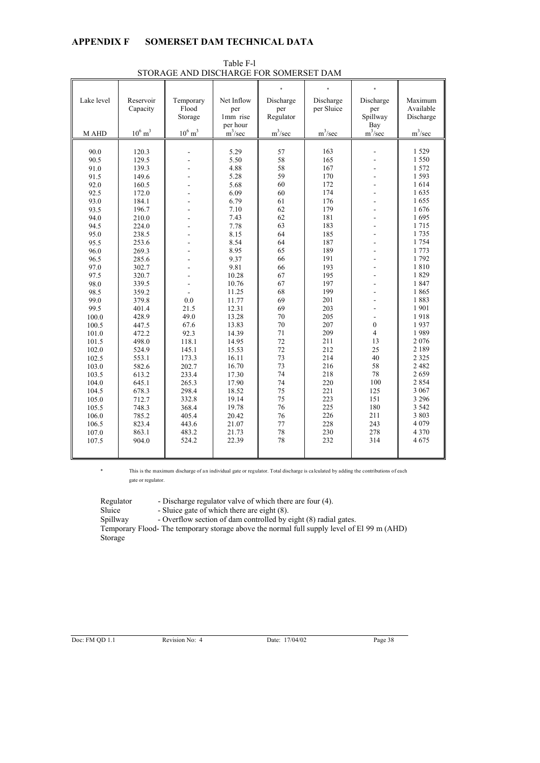#### <span id="page-43-0"></span>**APPENDIX F SOMERSET DAM TECHNICAL DATA**

| Lake level | Reservoir             | Temporary          | Net Inflow | Discharge | Discharge  | Discharge      | Maximum   |
|------------|-----------------------|--------------------|------------|-----------|------------|----------------|-----------|
|            | Capacity              | Flood              | per        | per       | per Sluice | per            | Available |
|            |                       | Storage            | 1mm rise   | Regulator |            | Spillway       | Discharge |
|            |                       |                    | per hour   |           |            | Bay            |           |
| M AHD      | $10^6$ m <sup>3</sup> | $10^6 \text{ m}^3$ | $m^3/sec$  | $m^3/sec$ | $m^3/sec$  | $m^3/sec$      | $m^3/sec$ |
|            |                       |                    |            |           |            |                |           |
| 90.0       | 120.3                 |                    | 5.29       | 57        | 163        |                | 1529      |
| 90.5       | 129.5                 |                    | 5.50       | 58        | 165        |                | 1550      |
| 91.0       | 139.3                 |                    | 4.88       | 58        | 167        |                | 1572      |
| 91.5       | 149.6                 |                    | 5.28       | 59        | 170        |                | 1593      |
| 92.0       | 160.5                 |                    | 5.68       | 60        | 172        |                | 1614      |
| 92.5       | 172.0                 |                    | 6.09       | 60        | 174        |                | 1635      |
| 93.0       | 184.1                 |                    | 6.79       | 61        | 176        |                | 1655      |
| 93.5       | 196.7                 |                    | 7.10       | 62        | 179        |                | 1676      |
| 94.0       | 210.0                 |                    | 7.43       | 62        | 181        |                | 1695      |
| 94.5       | 224.0                 |                    | 7.78       | 63        | 183        |                | 1715      |
| 95.0       | 238.5                 |                    | 8.15       | 64        | 185        |                | 1735      |
| 95.5       | 253.6                 |                    | 8.54       | 64        | 187        |                | 1754      |
| 96.0       | 269.3                 |                    | 8.95       | 65        | 189        |                | 1773      |
| 96.5       | 285.6                 |                    | 9.37       | 66        | 191        |                | 1792      |
| 97.0       | 302.7                 |                    | 9.81       | 66        | 193        |                | 1810      |
| 97.5       | 320.7                 |                    | 10.28      | 67        | 195        |                | 1829      |
| 98.0       | 339.5                 |                    | 10.76      | 67        | 197        |                | 1847      |
| 98.5       | 359.2                 |                    | 11.25      | 68        | 199        |                | 1865      |
| 99.0       | 379.8                 | 0.0                | 11.77      | 69        | 201        |                | 1883      |
| 99.5       | 401.4                 | 21.5               | 12.31      | 69        | 203        |                | 1901      |
| 100.0      | 428.9                 | 49.0               | 13.28      | 70        | 205        |                | 1918      |
| 100.5      | 447.5                 | 67.6               | 13.83      | 70        | 207        | $\overline{0}$ | 1937      |
| 101.0      | 472.2                 | 92.3               | 14.39      | 71        | 209        | $\overline{4}$ | 1989      |
| 101.5      | 498.0                 | 118.1              | 14.95      | 72        | 211        | 13             | 2076      |
| 102.0      | 524.9                 | 145.1              | 15.53      | 72        | 212        | 25             | 2 1 8 9   |
| 102.5      | 553.1                 | 173.3              | 16.11      | 73        | 214        | 40             | 2 3 2 5   |
| 103.0      | 582.6                 | 202.7              | 16.70      | 73        | 216        | 58             | 2482      |
| 103.5      | 613.2                 | 233.4              | 17.30      | 74        | 218        | 78             | 2659      |
| 104.0      | 645.1                 | 265.3              | 17.90      | 74        | 220        | 100            | 2854      |
| 104.5      | 678.3                 | 298.4              | 18.52      | 75        | 221        | 125            | 3 0 6 7   |
| 105.0      | 712.7                 | 332.8              | 19.14      | 75        | 223        | 151            | 3 2 9 6   |
| 105.5      | 748.3                 | 368.4              | 19.78      | 76        | 225        | 180            | 3 5 4 2   |
| 106.0      | 785.2                 | 405.4              | 20.42      | 76        | 226        | 211            | 3 8 0 3   |
| 106.5      | 823.4                 | 443.6              | 21.07      | 77        | 228        | 243            | 4 0 7 9   |
| 107.0      | 863.1                 | 483.2              | 21.73      | 78        | 230        | 278            | 4 3 7 0   |
| 107.5      | 904.0                 | 524.2              | 22.39      | 78        | 232        | 314            | 4675      |
|            |                       |                    |            |           |            |                |           |

Table F-l STORAGE AND DISCHARGE FOR SOMERSET DAM

\* This is the maximum discharge of an individual gate or regulator. Total discharge is calculated by adding the contributions of each gate or regulator.

Regulator - Discharge regulator valve of which there are four (4).<br>Sluice - Sluice gate of which there are eight (8). - Sluice gate of which there are eight  $(8)$ . Spillway - Overflow section of dam controlled by eight (8) radial gates. Temporary Flood- The temporary storage above the normal full supply level of El 99 m (AHD)

Storage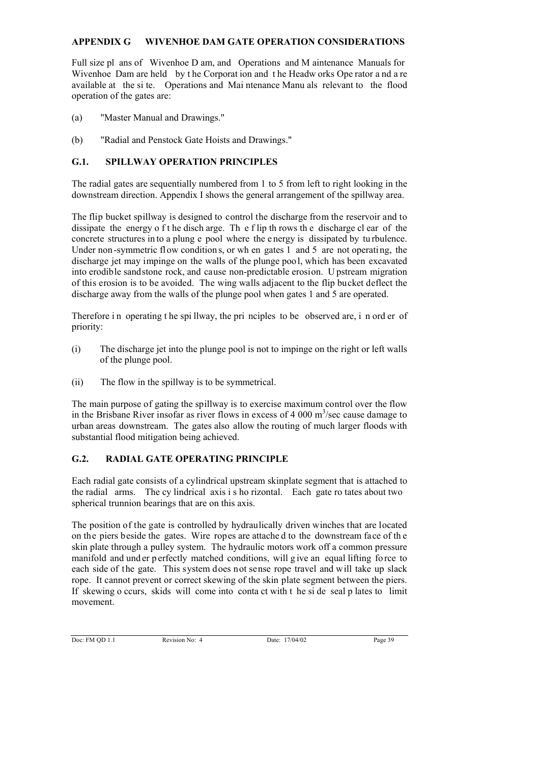### <span id="page-44-0"></span>**APPENDIX G WIVENHOE DAM GATE OPERATION CONSIDERATIONS**

Full size pl ans of Wivenhoe D am, and Operations and M aintenance Manuals for Wivenhoe Dam are held by the Corporat ion and the Headw orks Ope rator a nd a re available at the si te. Operations and Mai ntenance Manu als relevant to the flood operation of the gates are:

- (a) "Master Manual and Drawings."
- (b) "Radial and Penstock Gate Hoists and Drawings."

## **G.1. SPILLWAY OPERATION PRINCIPLES**

<span id="page-44-1"></span>The radial gates are sequentially numbered from 1 to 5 from left to right looking in the downstream direction. Appendix I shows the general arrangement of the spillway area.

The flip bucket spillway is designed to control the discharge from the reservoir and to dissipate the energy o f t he disch arge. Th e f lip th rows th e discharge cl ear of the concrete structures in to a plung e pool where the e nergy is dissipated by tu rbulence. Under non-symmetric flow conditions, or wh en gates  $1$  and  $5$  are not operating, the discharge jet may impinge on the walls of the plunge pool, which has been excavated into erodible sandstone rock, and cause non-predictable erosion. U pstream migration of this erosion is to be avoided. The wing walls adjacent to the flip bucket deflect the discharge away from the walls of the plunge pool when gates 1 and 5 are operated.

Therefore in operating the spi llway, the pri nciples to be observed are, in ord er of priority:

- (i) The discharge jet into the plunge pool is not to impinge on the right or left walls of the plunge pool.
- (ii) The flow in the spillway is to be symmetrical.

The main purpose of gating the spillway is to exercise maximum control over the flow in the Brisbane River insofar as river flows in excess of 4 000  $\text{m}^3\text{/sec}$  cause damage to urban areas downstream. The gates also allow the routing of much larger floods with substantial flood mitigation being achieved.

## **G.2. RADIAL GATE OPERATING PRINCIPLE**

Each radial gate consists of a cylindrical upstream skinplate segment that is attached to the radial arms. The cy lindrical axis i s ho rizontal. Each gate ro tates about two spherical trunnion bearings that are on this axis.

<span id="page-44-2"></span>The position of the gate is controlled by hydraulically driven winches that are located on the piers beside the gates. Wire ropes are attache d to the downstream face of th e skin plate through a pulley system. The hydraulic motors work off a common pressure manifold and und er p erfectly matched conditions, will give an equal lifting force to each side of the gate. This system does not sense rope travel and will take up slack rope. It cannot prevent or correct skewing of the skin plate segment between the piers. If skewing o ccurs, skids will come into conta ct with t he si de seal p lates to limit movement.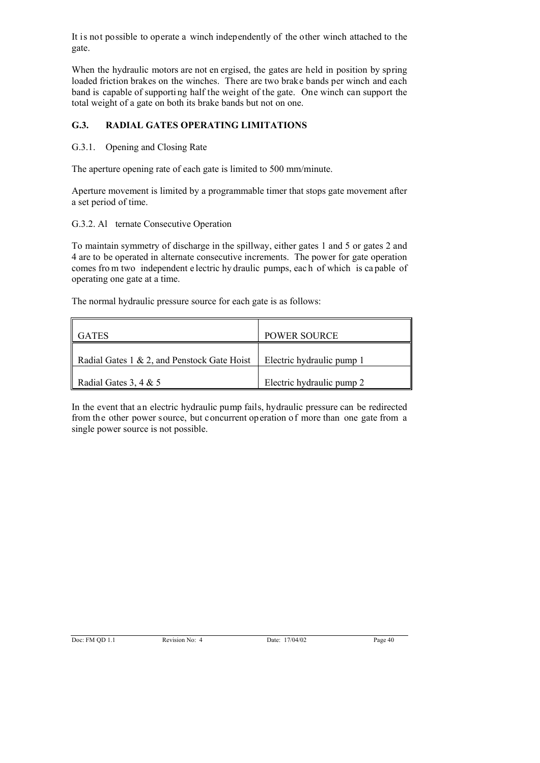It is not possible to operate a winch independently of the other winch attached to the gate.

When the hydraulic motors are not en ergised, the gates are held in position by spring loaded friction brakes on the winches. There are two brake bands per winch and each band is capable of supporti ng half the weight of the gate. One winch can support the total weight of a gate on both its brake bands but not on one.

## **G.3. RADIAL GATES OPERATING LIMITATIONS**

<span id="page-45-0"></span>G.3.1. Opening and Closing Rate

The aperture opening rate of each gate is limited to 500 mm/minute.

Aperture movement is limited by a programmable timer that stops gate movement after a set period of time.

#### G.3.2. Al ternate Consecutive Operation

To maintain symmetry of discharge in the spillway, either gates 1 and 5 or gates 2 and 4 are to be operated in alternate consecutive increments. The power for gate operation comes fro m two independent e lectric hy draulic pumps, eac h of which is ca pable of operating one gate at a time.

The normal hydraulic pressure source for each gate is as follows:

| <b>GATES</b>                                | <b>POWER SOURCE</b>       |
|---------------------------------------------|---------------------------|
| Radial Gates 1 & 2, and Penstock Gate Hoist | Electric hydraulic pump 1 |
| Radial Gates 3, 4 & 5                       | Electric hydraulic pump 2 |

In the event that an electric hydraulic pump fails, hydraulic pressure can be redirected from the other power source, but concurrent operation of more than one gate from a single power source is not possible.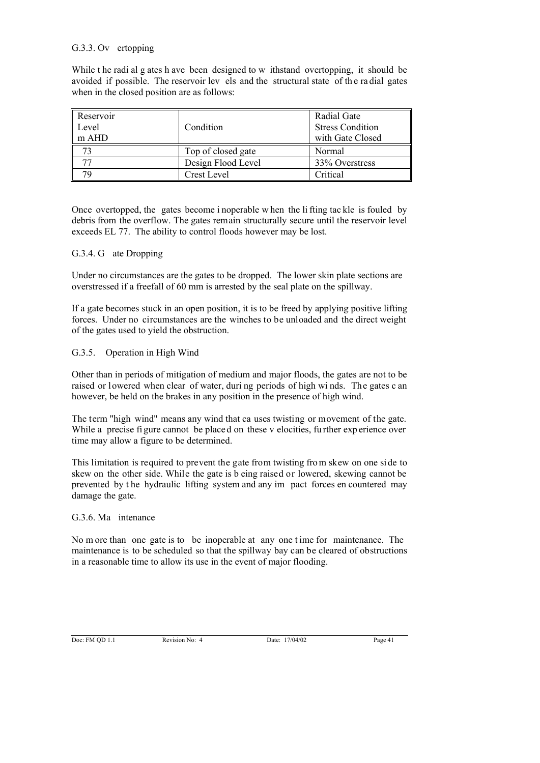#### G.3.3. Ov ertopping

While t he radi al g ates h ave been designed to w ithstand overtopping, it should be avoided if possible. The reservoir lev els and the structural state of th e ra dial gates when in the closed position are as follows:

| Reservoir<br>Level<br>m AHD | Condition          | Radial Gate<br><b>Stress Condition</b><br>with Gate Closed |
|-----------------------------|--------------------|------------------------------------------------------------|
|                             | Top of closed gate | Normal                                                     |
|                             | Design Flood Level | 33% Overstress                                             |
|                             | Crest Level        | Critical                                                   |

Once overtopped, the gates become i noperable w hen the li fting tac kle is fouled by debris from the overflow. The gates remain structurally secure until the reservoir level exceeds EL 77. The ability to control floods however may be lost.

#### G.3.4. G ate Dropping

Under no circumstances are the gates to be dropped. The lower skin plate sections are overstressed if a freefall of 60 mm is arrested by the seal plate on the spillway.

If a gate becomes stuck in an open position, it is to be freed by applying positive lifting forces. Under no circumstances are the winches to be unloaded and the direct weight of the gates used to yield the obstruction.

#### G.3.5. Operation in High Wind

Other than in periods of mitigation of medium and major floods, the gates are not to be raised or lowered when clear of water, duri ng periods of high wi nds. The gates c an however, be held on the brakes in any position in the presence of high wind.

The term "high wind" means any wind that ca uses twisting or movement of the gate. While a precise fi gure cannot be place d on these v elocities, fu rther exp erience over time may allow a figure to be determined.

This limitation is required to prevent the gate from twisting fro m skew on one side to skew on the other side. While the gate is b eing raised or lowered, skewing cannot be prevented by t he hydraulic lifting system and any im pact forces en countered may damage the gate.

#### G.3.6. Ma intenance

No m ore than one gate is to be inoperable at any one t ime for maintenance. The maintenance is to be scheduled so that the spillway bay can be cleared of obstructions in a reasonable time to allow its use in the event of major flooding.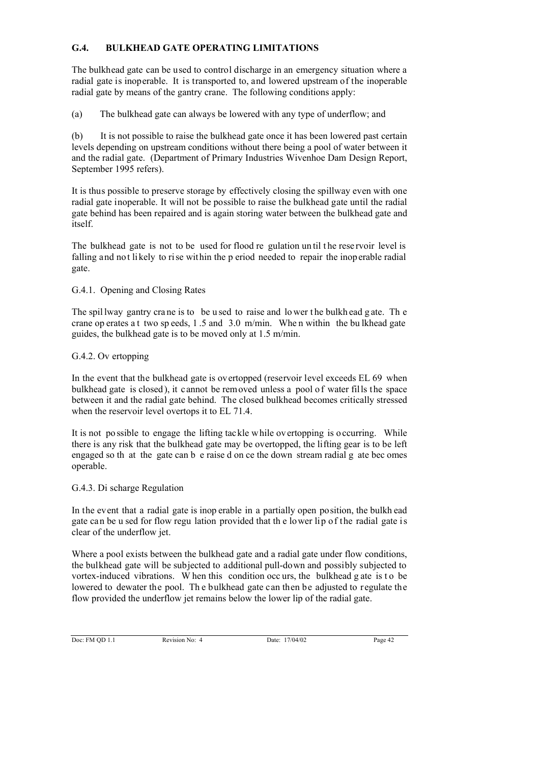## <span id="page-47-0"></span>**G.4. BULKHEAD GATE OPERATING LIMITATIONS**

The bulkhead gate can be used to control discharge in an emergency situation where a radial gate is inoperable. It is transported to, and lowered upstream of the inoperable radial gate by means of the gantry crane. The following conditions apply:

(a) The bulkhead gate can always be lowered with any type of underflow; and

(b) It is not possible to raise the bulkhead gate once it has been lowered past certain levels depending on upstream conditions without there being a pool of water between it and the radial gate. (Department of Primary Industries Wivenhoe Dam Design Report, September 1995 refers).

It is thus possible to preserve storage by effectively closing the spillway even with one radial gate inoperable. It will not be possible to raise the bulkhead gate until the radial gate behind has been repaired and is again storing water between the bulkhead gate and itself.

The bulkhead gate is not to be used for flood re gulation un til the rese rvoir level is falling and not likely to rise within the p eriod needed to repair the inoperable radial gate.

## G.4.1. Opening and Closing Rates

The spillway gantry crane is to be used to raise and lower the bulkh ead gate. The crane op erates a t two sp eeds,  $1.5$  and  $3.0$  m/min. When within the bu lkhead gate guides, the bulkhead gate is to be moved only at 1.5 m/min.

## G.4.2. Ov ertopping

In the event that the bulkhead gate is overtopped (reservoir level exceeds EL 69 when bulkhead gate is closed), it cannot be removed unless a pool of water fills the space between it and the radial gate behind. The closed bulkhead becomes critically stressed when the reservoir level overtops it to EL 71.4.

It is not po ssible to engage the lifting tackle while ov ertopping is o ccurring. While there is any risk that the bulkhead gate may be overtopped, the lifting gear is to be left engaged so th at the gate can b e raise d on ce the down stream radial g ate bec omes operable.

#### G.4.3. Di scharge Regulation

In the event that a radial gate is inop erable in a partially open position, the bulkh ead gate can be u sed for flow regu lation provided that th e lower lip of the radial gate is clear of the underflow jet.

Where a pool exists between the bulkhead gate and a radial gate under flow conditions, the bulkhead gate will be subjected to additional pull-down and possibly subjected to vortex-induced vibrations. When this condition occ urs, the bulkhead g ate is to be lowered to dewater the pool. Th e bulkhead gate can then be adjusted to regulate the flow provided the underflow jet remains below the lower lip of the radial gate.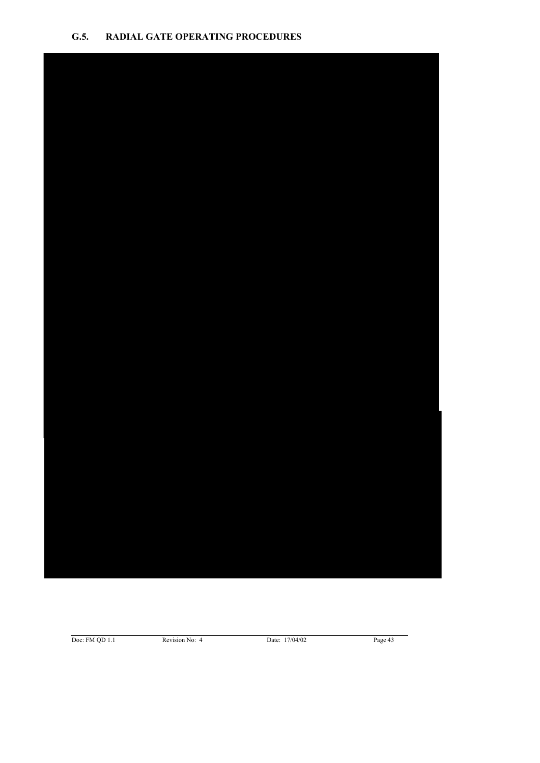<span id="page-48-0"></span>

<span id="page-48-1"></span>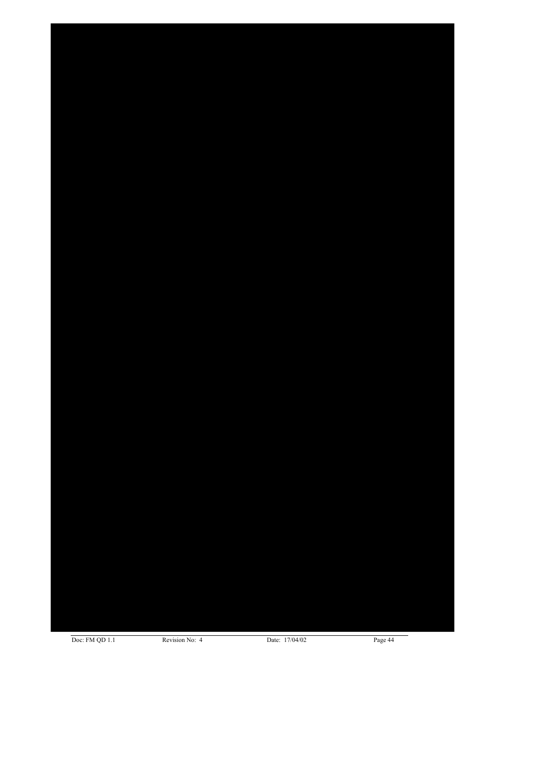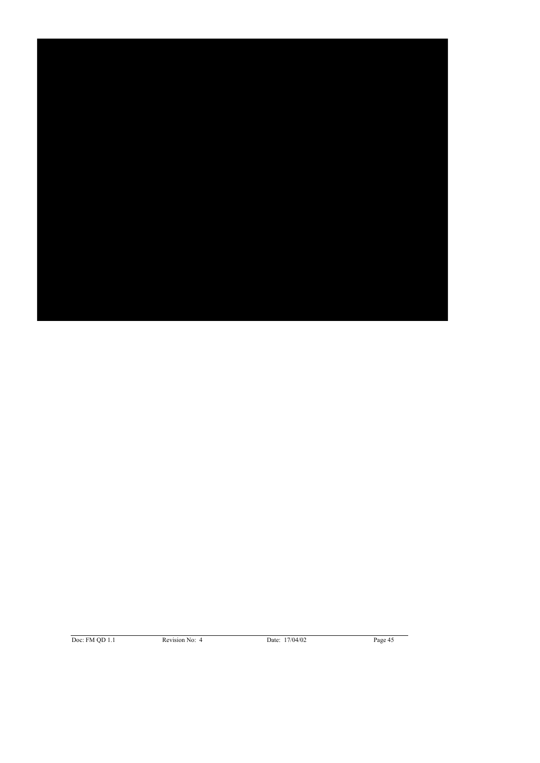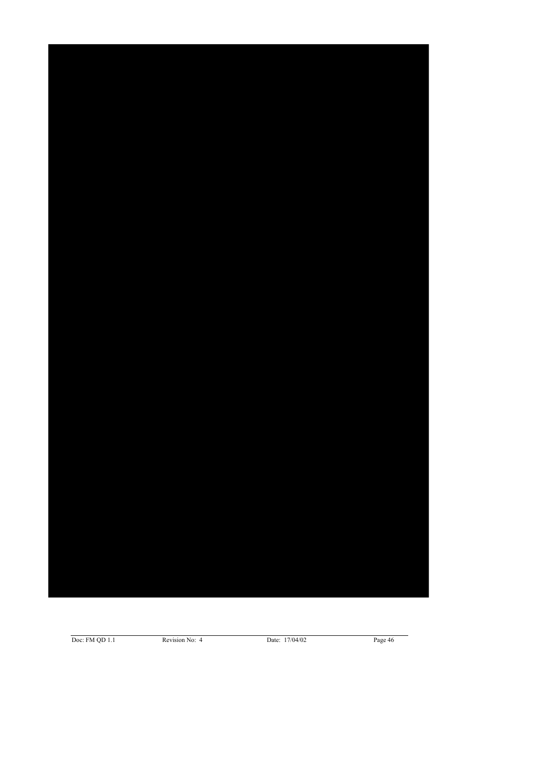<span id="page-51-2"></span><span id="page-51-1"></span><span id="page-51-0"></span>

<span id="page-51-5"></span><span id="page-51-4"></span><span id="page-51-3"></span>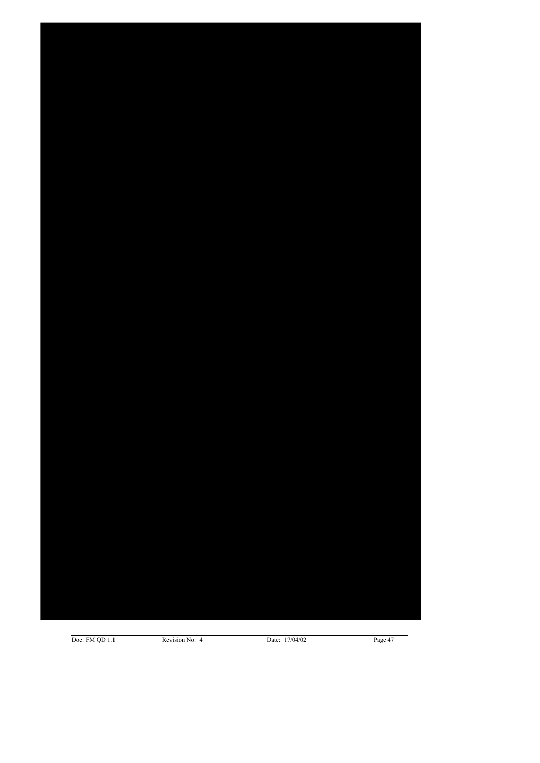<span id="page-52-2"></span><span id="page-52-1"></span><span id="page-52-0"></span>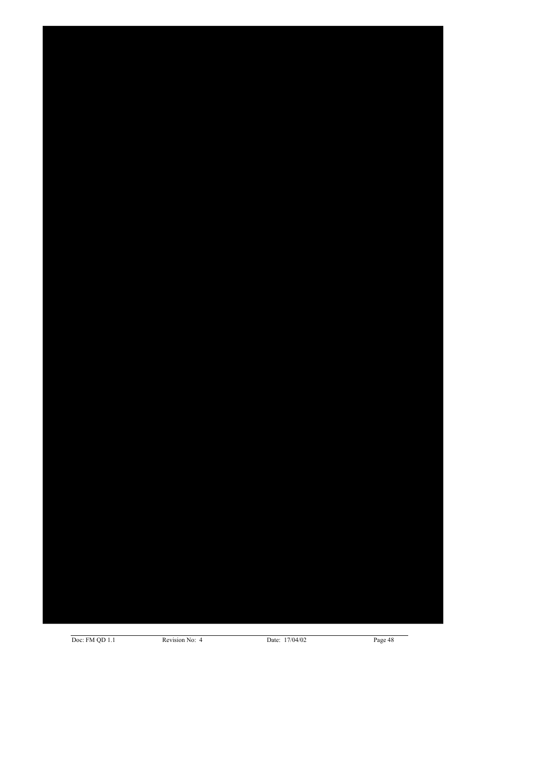<span id="page-53-0"></span>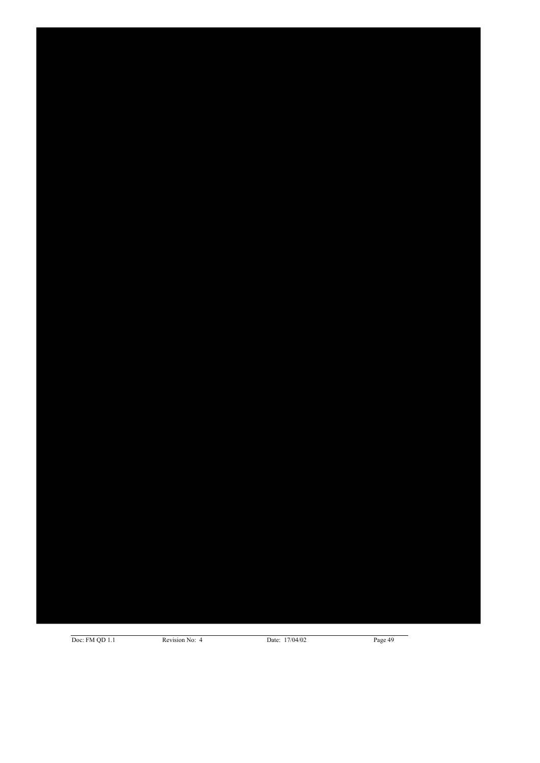<span id="page-54-0"></span>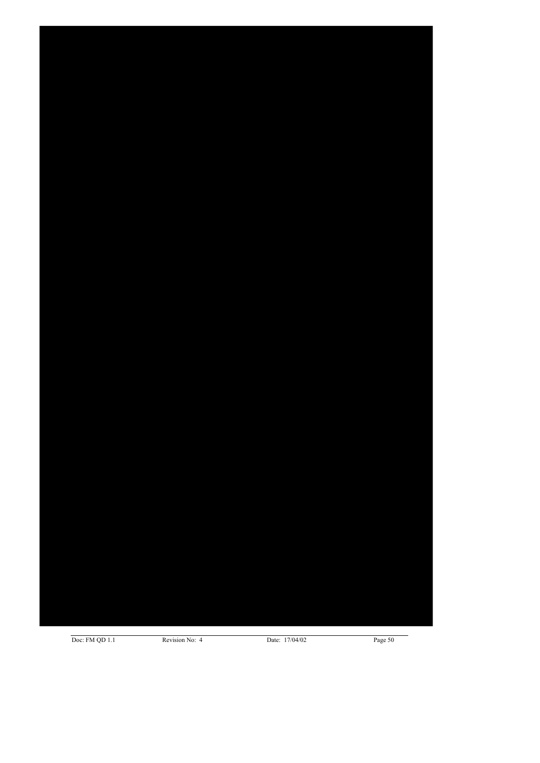

<span id="page-55-0"></span>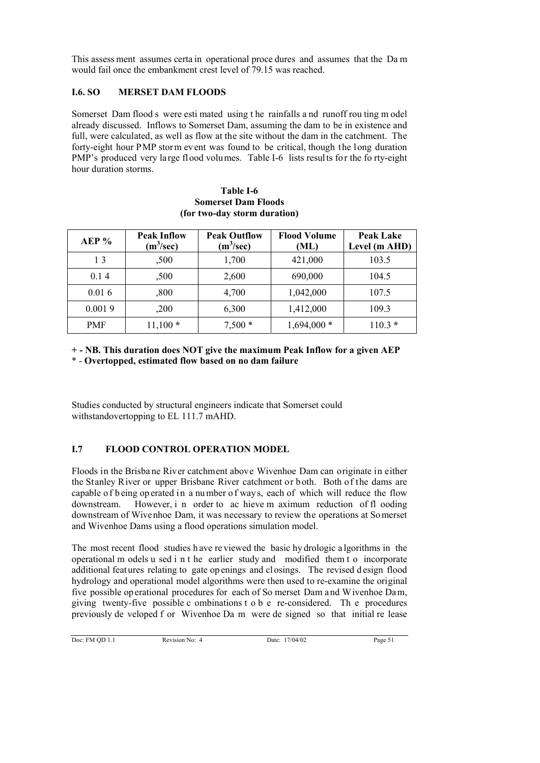This assess ment assumes certa in operational proce dures and assumes that the Da m would fail once the embankment crest level of 79.15 was reached.

## **I.6. SO MERSET DAM FLOODS**

<span id="page-56-0"></span>Somerset Dam flood s were esti mated using t he rainfalls a nd runoff rou ting m odel already discussed. Inflows to Somerset Dam, assuming the dam to be in existence and full, were calculated, as well as flow at the site without the dam in the catchment. The forty-eight hour PMP storm event was found to be critical, though the long duration PMP's produced very large flood volumes. Table I-6 lists results for the fo rty-eight hour duration storms.

| $AEP\%$    | <b>Peak Inflow</b><br>$(m^3/sec)$ | <b>Peak Outflow</b><br>$(m^3/\text{sec})$ | <b>Flood Volume</b><br>(ML) | Peak Lake<br>Level (m AHD) |
|------------|-----------------------------------|-------------------------------------------|-----------------------------|----------------------------|
| 13         | ,500                              | 1,700                                     | 421,000                     | 103.5                      |
| 0.14       | ,500                              | 2,600                                     | 690,000                     | 104.5                      |
| 0.016      | ,800                              | 4,700                                     | 1,042,000                   | 107.5                      |
| 0.0019     | ,200                              | 6,300                                     | 1,412,000                   | 109.3                      |
| <b>PMF</b> | $11,100*$                         | $7,500*$                                  | $1,694,000*$                | $110.3*$                   |

#### **Table I-6 Somerset Dam Floods (for two-day storm duration)**

**+ - NB. This duration does NOT give the maximum Peak Inflow for a given AEP**  \* - **Overtopped, estimated flow based on no dam failure**

Studies conducted by structural engineers indicate that Somerset could withstandovertopping to EL 111.7 mAHD.

## **I.7 FLOOD CONTROL OPERATION MODEL**

Floods in the Brisba ne River catchment above Wivenhoe Dam can originate in either the Stanley River or upper Brisbane River catchment or both. Both of the dams are capable o f b eing op erated in a nu mber o f way s, each of which will reduce the flow downstream. However, i n order to ac hieve m aximum reduction of fl ooding downstream of Wivenhoe Dam, it was necessary to review the operations at Somerset and Wivenhoe Dams using a flood operations simulation model.

<span id="page-56-1"></span>The most recent flood studies h ave re viewed the basic hy drologic a lgorithms in the operational m odels u sed i n t he earlier study and modified them t o incorporate additional features relating to gate op enings and closings. The revised d esign flood hydrology and operational model algorithms were then used to re-examine the original five possible op erational procedures for each of So merset Dam and Wivenhoe Dam, giving twenty-five possible c ombinations t o b e re-considered. Th e procedures previously de veloped f or Wivenhoe Da m were de signed so that initial re lease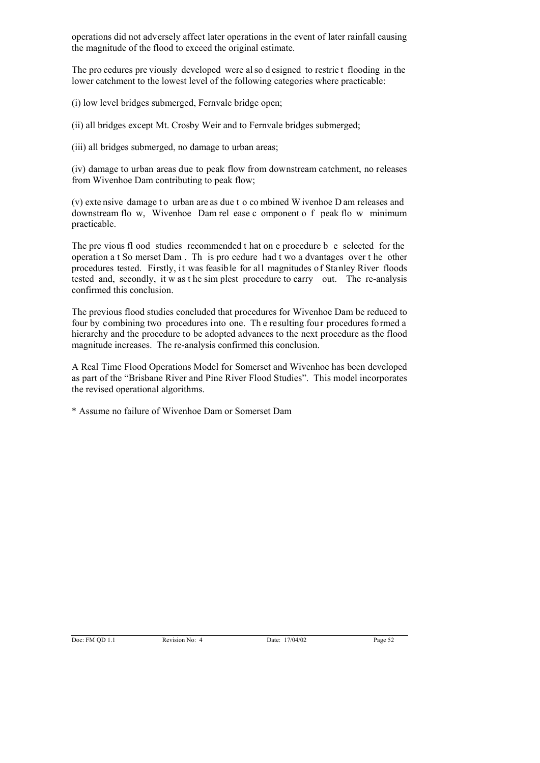operations did not adversely affect later operations in the event of later rainfall causing the magnitude of the flood to exceed the original estimate.

The pro cedures pre viously developed were al so d esigned to restric t flooding in the lower catchment to the lowest level of the following categories where practicable:

(i) low level bridges submerged, Fernvale bridge open;

(ii) all bridges except Mt. Crosby Weir and to Fernvale bridges submerged;

(iii) all bridges submerged, no damage to urban areas;

(iv) damage to urban areas due to peak flow from downstream catchment, no releases from Wivenhoe Dam contributing to peak flow;

(v) exte nsive damage t o urban are as due t o co mbined W ivenhoe D am releases and downstream flo w, Wivenhoe Dam rel ease c omponent o f peak flo w minimum practicable.

The pre vious fl ood studies recommended t hat on e procedure b e selected for the operation a t So merset Dam . Th is pro cedure had t wo a dvantages over t he other procedures tested. Firstly, it was feasible for all magnitudes of Stanley River floods tested and, secondly, it w as t he sim plest procedure to carry out. The re-analysis confirmed this conclusion.

The previous flood studies concluded that procedures for Wivenhoe Dam be reduced to four by combining two procedures into one. Th e resulting four procedures formed a hierarchy and the procedure to be adopted advances to the next procedure as the flood magnitude increases. The re-analysis confirmed this conclusion.

A Real Time Flood Operations Model for Somerset and Wivenhoe has been developed as part of the "Brisbane River and Pine River Flood Studies". This model incorporates the revised operational algorithms.

\* Assume no failure of Wivenhoe Dam or Somerset Dam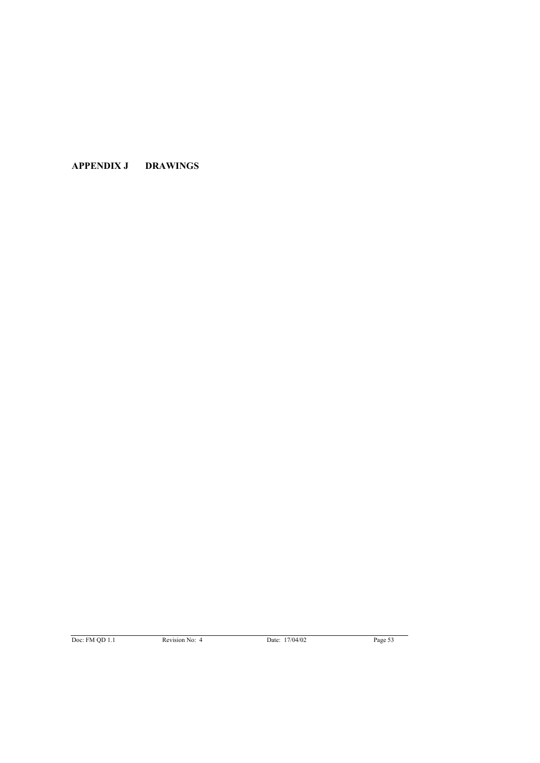<span id="page-58-0"></span>**APPENDIX J DRAWINGS**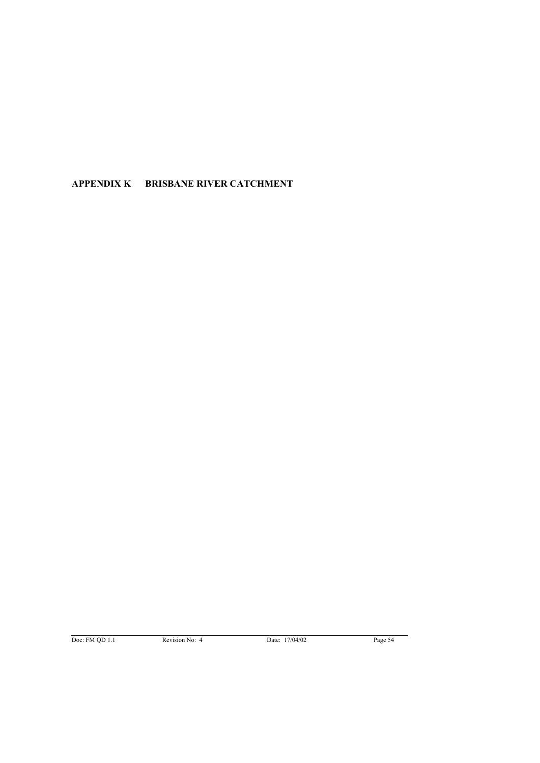<span id="page-59-0"></span>**APPENDIX K BRISBANE RIVER CATCHMENT**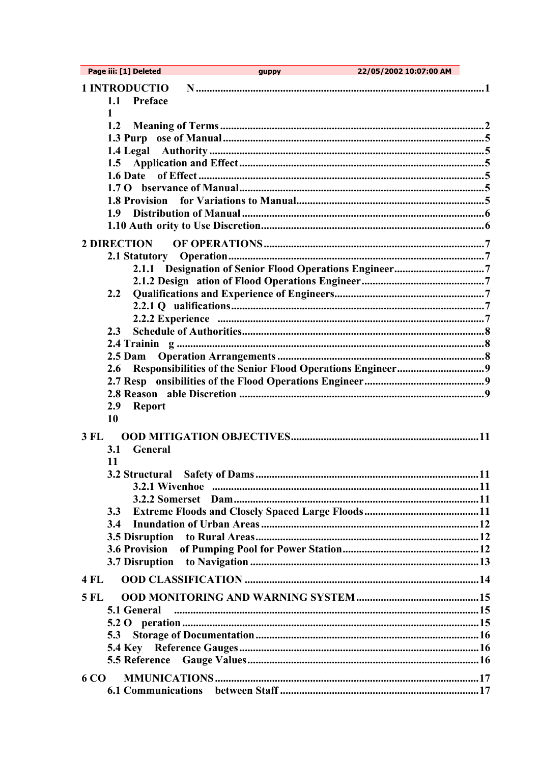| Page iii: [1] Deleted                  | <b>STATE</b><br>guppy | 22/05/2002 10:07:00 AM |  |
|----------------------------------------|-----------------------|------------------------|--|
| <b>1 INTRODUCTIO</b><br>1.1<br>Preface |                       |                        |  |
| 1<br>1.2<br>$1.3$ Purp                 |                       |                        |  |
| 1.4 Legal                              |                       |                        |  |
| 1.6 Date                               |                       |                        |  |
| 1.9                                    |                       |                        |  |
|                                        |                       |                        |  |
| <b>2 DIRECTION</b><br>2.1 Statutory    |                       |                        |  |
|                                        |                       |                        |  |
| 2.2                                    |                       |                        |  |
| 2.3                                    |                       |                        |  |
| <b>2.5 Dam</b>                         |                       |                        |  |
| 2.6                                    |                       |                        |  |
| <b>Report</b><br>2.9<br>10             |                       |                        |  |
| <b>3 FL</b><br>General<br>3.1<br>11    |                       |                        |  |
| 3.2.1 Wivenhoe                         |                       |                        |  |
|                                        |                       |                        |  |
| 3.3<br>3.4                             |                       |                        |  |
| 3.5 Disruption                         |                       |                        |  |
| <b>3.6 Provision</b><br>3.7 Disruption |                       |                        |  |
| <b>4 FL</b>                            |                       |                        |  |
| <b>5 FL</b><br>5.1 General             |                       |                        |  |
|                                        |                       |                        |  |
| 5.3                                    |                       |                        |  |
| 5.5 Reference                          |                       |                        |  |
| 6 CO                                   |                       |                        |  |
|                                        |                       |                        |  |